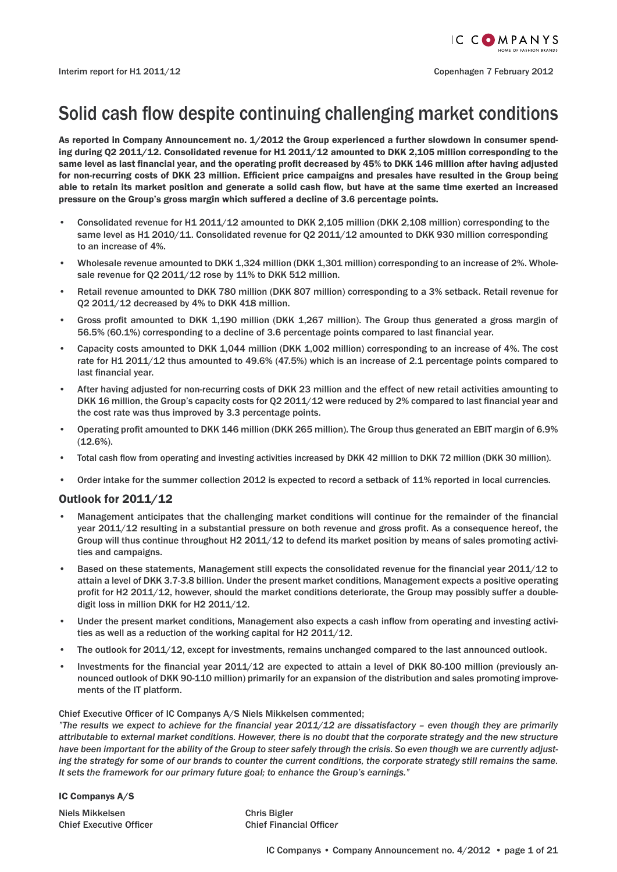## Solid cash flow despite continuing challenging market conditions

As reported in Company Announcement no. 1/2012 the Group experienced a further slowdown in consumer spending during Q2 2011/12. Consolidated revenue for H1 2011/12 amounted to DKK 2,105 million corresponding to the same level as last financial year, and the operating profit decreased by 45% to DKK 146 million after having adjusted for non-recurring costs of DKK 23 million. Efficient price campaigns and presales have resulted in the Group being able to retain its market position and generate a solid cash flow, but have at the same time exerted an increased pressure on the Group's gross margin which suffered a decline of 3.6 percentage points.

- Consolidated revenue for H1 2011/12 amounted to DKK 2,105 million (DKK 2,108 million) corresponding to the same level as H1 2010/11. Consolidated revenue for 02 2011/12 amounted to DKK 930 million corresponding to an increase of 4%.
- Wholesale revenue amounted to DKK 1,324 million (DKK 1,301 million) corresponding to an increase of 2%. Wholesale revenue for Q2 2011/12 rose by 11% to DKK 512 million.
- Retail revenue amounted to DKK 780 million (DKK 807 million) corresponding to a 3% setback. Retail revenue for Q2 2011/12 decreased by 4% to DKK 418 million.
- Gross profit amounted to DKK 1,190 million (DKK 1,267 million). The Group thus generated a gross margin of 56.5% (60.1%) corresponding to a decline of 3.6 percentage points compared to last financial year.
- Capacity costs amounted to DKK 1,044 million (DKK 1,002 million) corresponding to an increase of 4%. The cost rate for H1 2011/12 thus amounted to 49.6% (47.5%) which is an increase of 2.1 percentage points compared to last financial year.
- After having adjusted for non-recurring costs of DKK 23 million and the effect of new retail activities amounting to DKK 16 million, the Group's capacity costs for Q2 2011/12 were reduced by 2% compared to last financial year and the cost rate was thus improved by 3.3 percentage points.
- Operating profi t amounted to DKK 146 million (DKK 265 million). The Group thus generated an EBIT margin of 6.9% (12.6%).
- Total cash flow from operating and investing activities increased by DKK 42 million to DKK 72 million (DKK 30 million).
- Order intake for the summer collection 2012 is expected to record a setback of 11% reported in local currencies.

#### Outlook for 2011/12

- Management anticipates that the challenging market conditions will continue for the remainder of the financial year 2011/12 resulting in a substantial pressure on both revenue and gross profit. As a consequence hereof, the Group will thus continue throughout H2 2011/12 to defend its market position by means of sales promoting activities and campaigns.
- Based on these statements, Management still expects the consolidated revenue for the financial year 2011/12 to attain a level of DKK 3.7-3.8 billion. Under the present market conditions, Management expects a positive operating profit for H2 2011/12, however, should the market conditions deteriorate, the Group may possibly suffer a doubledigit loss in million DKK for H2 2011/12.
- Under the present market conditions, Management also expects a cash inflow from operating and investing activities as well as a reduction of the working capital for H2 2011/12.
- The outlook for 2011/12, except for investments, remains unchanged compared to the last announced outlook.
- Investments for the financial year  $2011/12$  are expected to attain a level of DKK 80-100 million (previously announced outlook of DKK 90-110 million) primarily for an expansion of the distribution and sales promoting improvements of the IT platform.

Chief Executive Officer of IC Companys A/S Niels Mikkelsen commented;

*"The results we expect to achieve for the financial year 2011/12 are dissatisfactory – even though they are primarily attributable to external market conditions. However, there is no doubt that the corporate strategy and the new structure have been important for the ability of the Group to steer safely through the crisis. So even though we are currently adjusting the strategy for some of our brands to counter the current conditions, the corporate strategy still remains the same. It sets the framework for our primary future goal; to enhance the Group's earnings."*

IC Companys A/S

Niels Mikkelsen Chris Bigler

Chief Executive Officer Chief Financial Officer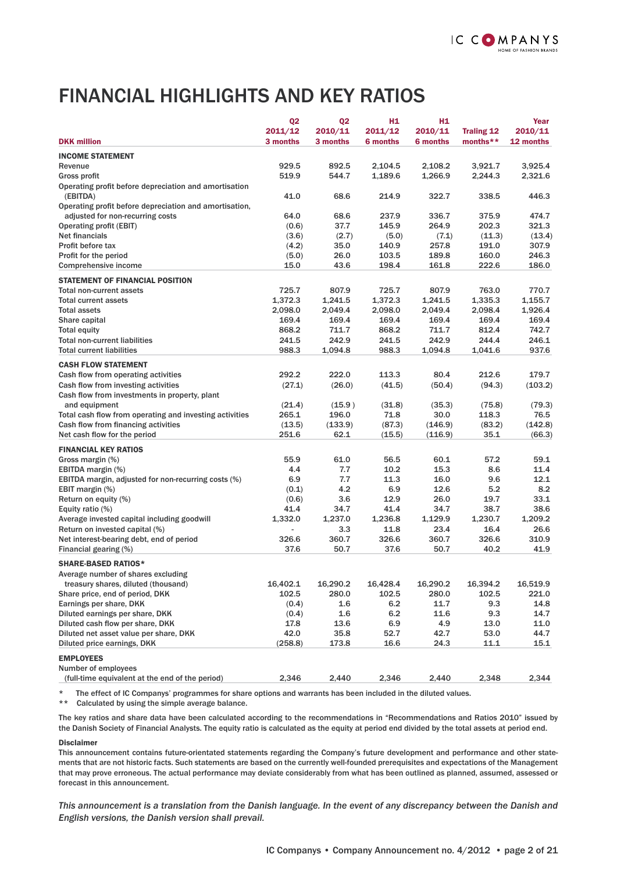## FINANCIAL HIGHLIGHTS AND KEY RATIOS

|                                                                   | Q <sub>2</sub> | <b>Q2</b> | H1.             | H1              |                   | Year      |
|-------------------------------------------------------------------|----------------|-----------|-----------------|-----------------|-------------------|-----------|
|                                                                   | 2011/12        | 2010/11   | 2011/12         | 2010/11         | <b>Traling 12</b> | 2010/11   |
| <b>DKK million</b>                                                | 3 months       | 3 months  | <b>6 months</b> | <b>6 months</b> | months**          | 12 months |
| <b>INCOME STATEMENT</b>                                           |                |           |                 |                 |                   |           |
| Revenue                                                           | 929.5          | 892.5     | 2,104.5         | 2,108.2         | 3,921.7           | 3,925.4   |
| Gross profit                                                      | 519.9          | 544.7     | 1,189.6         | 1,266.9         | 2,244.3           | 2,321.6   |
| Operating profit before depreciation and amortisation<br>(EBITDA) | 41.0           | 68.6      | 214.9           | 322.7           | 338.5             | 446.3     |
| Operating profit before depreciation and amortisation,            |                |           |                 |                 |                   |           |
| adjusted for non-recurring costs                                  | 64.0           | 68.6      | 237.9           | 336.7           | 375.9             | 474.7     |
| <b>Operating profit (EBIT)</b>                                    | (0.6)          | 37.7      | 145.9           | 264.9           | 202.3             | 321.3     |
| Net financials                                                    | (3.6)          | (2.7)     | (5.0)           | (7.1)           | (11.3)            | (13.4)    |
| Profit before tax                                                 | (4.2)          | 35.0      | 140.9           | 257.8           | 191.0             | 307.9     |
| Profit for the period                                             | (5.0)          | 26.0      | 103.5           | 189.8           | 160.0             | 246.3     |
| Comprehensive income                                              | 15.0           | 43.6      | 198.4           | 161.8           | 222.6             | 186.0     |
| <b>STATEMENT OF FINANCIAL POSITION</b>                            |                |           |                 |                 |                   |           |
| <b>Total non-current assets</b>                                   | 725.7          | 807.9     | 725.7           | 807.9           | 763.0             | 770.7     |
| <b>Total current assets</b>                                       | 1,372.3        | 1,241.5   | 1,372.3         | 1,241.5         | 1,335.3           | 1,155.7   |
| <b>Total assets</b>                                               | 2,098.0        | 2,049.4   | 2,098.0         | 2,049.4         | 2,098.4           | 1,926.4   |
| Share capital                                                     | 169.4          | 169.4     | 169.4           | 169.4           | 169.4             | 169.4     |
| <b>Total equity</b>                                               | 868.2          | 711.7     | 868.2           | 711.7           | 812.4             | 742.7     |
| <b>Total non-current liabilities</b>                              | 241.5          | 242.9     | 241.5           | 242.9           | 244.4             | 246.1     |
| <b>Total current liabilities</b>                                  | 988.3          | 1,094.8   | 988.3           | 1,094.8         | 1,041.6           | 937.6     |
| <b>CASH FLOW STATEMENT</b>                                        |                |           |                 |                 |                   |           |
| Cash flow from operating activities                               | 292.2          | 222.0     | 113.3           | 80.4            | 212.6             | 179.7     |
| Cash flow from investing activities                               | (27.1)         | (26.0)    | (41.5)          | (50.4)          | (94.3)            | (103.2)   |
| Cash flow from investments in property, plant                     |                |           |                 |                 |                   |           |
| and equipment                                                     | (21.4)         | (15.9)    | (31.8)          | (35.3)          | (75.8)            | (79.3)    |
| Total cash flow from operating and investing activities           | 265.1          | 196.0     | 71.8            | 30.0            | 118.3             | 76.5      |
| Cash flow from financing activities                               | (13.5)         | (133.9)   | (87.3)          | (146.9)         | (83.2)            | (142.8)   |
| Net cash flow for the period                                      | 251.6          | 62.1      | (15.5)          | (116.9)         | 35.1              | (66.3)    |
| <b>FINANCIAL KEY RATIOS</b>                                       |                |           |                 |                 |                   |           |
| Gross margin (%)                                                  | 55.9           | 61.0      | 56.5            | 60.1            | 57.2              | 59.1      |
| EBITDA margin (%)                                                 | 4.4            | 7.7       | 10.2            | 15.3            | 8.6               | 11.4      |
| EBITDA margin, adjusted for non-recurring costs (%)               | 6.9            | 7.7       | 11.3            | 16.0            | 9.6               | 12.1      |
| EBIT margin (%)                                                   | (0.1)          | 4.2       | 6.9             | 12.6            | 5.2               | 8.2       |
| Return on equity (%)                                              | (0.6)          | 3.6       | 12.9            | 26.0            | 19.7              | 33.1      |
| Equity ratio (%)                                                  | 41.4           | 34.7      | 41.4            | 34.7            | 38.7              | 38.6      |
| Average invested capital including goodwill                       | 1,332.0        | 1,237.0   | 1,236.8         | 1,129.9         | 1.230.7           | 1,209.2   |
| Return on invested capital (%)                                    |                | 3.3       | 11.8            | 23.4            | 16.4              | 26.6      |
| Net interest-bearing debt, end of period                          | 326.6          | 360.7     | 326.6           | 360.7           | 326.6             | 310.9     |
| Financial gearing (%)                                             | 37.6           | 50.7      | 37.6            | 50.7            | 40.2              | 41.9      |
|                                                                   |                |           |                 |                 |                   |           |
| <b>SHARE-BASED RATIOS*</b><br>Average number of shares excluding  |                |           |                 |                 |                   |           |
| treasury shares, diluted (thousand)                               | 16,402.1       | 16,290.2  | 16,428.4        | 16,290.2        | 16,394.2          | 16,519.9  |
| Share price, end of period, DKK                                   | 102.5          | 280.0     | 102.5           | 280.0           | 102.5             | 221.0     |
| Earnings per share, DKK                                           | (0.4)          | $1.6\,$   | 6.2             | 11.7            | 9.3               | 14.8      |
| Diluted earnings per share, DKK                                   | (0.4)          | 1.6       | 6.2             | 11.6            | 9.3               | 14.7      |
| Diluted cash flow per share, DKK                                  | 17.8           | 13.6      | 6.9             | 4.9             | 13.0              | 11.0      |
| Diluted net asset value per share, DKK                            | 42.0           | 35.8      | 52.7            | 42.7            | 53.0              | 44.7      |
| Diluted price earnings, DKK                                       | (258.8)        | 173.8     | 16.6            | 24.3            | 11.1              | 15.1      |
|                                                                   |                |           |                 |                 |                   |           |
| <b>EMPLOYEES</b><br>Number of employees                           |                |           |                 |                 |                   |           |
| (full-time equivalent at the end of the period)                   | 2,346          | 2,440     | 2,346           | 2,440           | 2,348             | 2,344     |
|                                                                   |                |           |                 |                 |                   |           |

The effect of IC Companys' programmes for share options and warrants has been included in the diluted values.

\*\* Calculated by using the simple average balance.

The key ratios and share data have been calculated according to the recommendations in "Recommendations and Ratios 2010" issued by the Danish Society of Financial Analysts. The equity ratio is calculated as the equity at period end divided by the total assets at period end.

#### Disclaimer

This announcement contains future-orientated statements regarding the Company's future development and performance and other statements that are not historic facts. Such statements are based on the currently well-founded prerequisites and expectations of the Management that may prove erroneous. The actual performance may deviate considerably from what has been outlined as planned, assumed, assessed or forecast in this announcement.

*This announcement is a translation from the Danish language. In the event of any discrepancy between the Danish and English versions, the Danish version shall prevail.*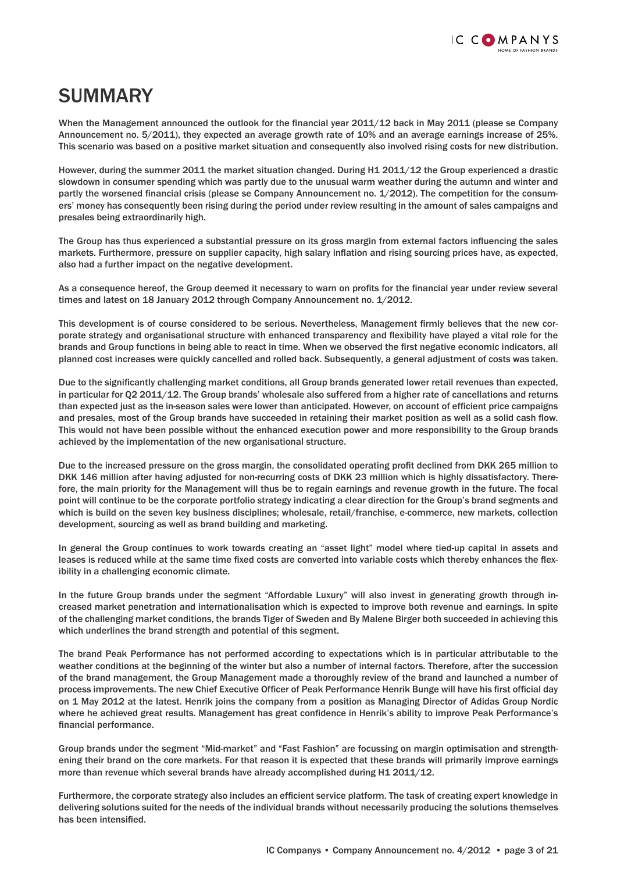## SUMMARY

When the Management announced the outlook for the financial year 2011/12 back in May 2011 (please se Company Announcement no. 5/2011), they expected an average growth rate of 10% and an average earnings increase of 25%. This scenario was based on a positive market situation and consequently also involved rising costs for new distribution.

However, during the summer 2011 the market situation changed. During H1 2011/12 the Group experienced a drastic slowdown in consumer spending which was partly due to the unusual warm weather during the autumn and winter and partly the worsened financial crisis (please se Company Announcement no.  $1/2012$ ). The competition for the consumers' money has consequently been rising during the period under review resulting in the amount of sales campaigns and presales being extraordinarily high.

The Group has thus experienced a substantial pressure on its gross margin from external factors influencing the sales markets. Furthermore, pressure on supplier capacity, high salary inflation and rising sourcing prices have, as expected, also had a further impact on the negative development.

As a consequence hereof, the Group deemed it necessary to warn on profits for the financial year under review several times and latest on 18 January 2012 through Company Announcement no. 1/2012.

This development is of course considered to be serious. Nevertheless, Management firmly believes that the new corporate strategy and organisational structure with enhanced transparency and flexibility have played a vital role for the brands and Group functions in being able to react in time. When we observed the first negative economic indicators, all planned cost increases were quickly cancelled and rolled back. Subsequently, a general adjustment of costs was taken.

Due to the significantly challenging market conditions, all Group brands generated lower retail revenues than expected, in particular for Q2 2011/12. The Group brands' wholesale also suffered from a higher rate of cancellations and returns than expected just as the in-season sales were lower than anticipated. However, on account of efficient price campaigns and presales, most of the Group brands have succeeded in retaining their market position as well as a solid cash flow. This would not have been possible without the enhanced execution power and more responsibility to the Group brands achieved by the implementation of the new organisational structure.

Due to the increased pressure on the gross margin, the consolidated operating profit declined from DKK 265 million to DKK 146 million after having adjusted for non-recurring costs of DKK 23 million which is highly dissatisfactory. Therefore, the main priority for the Management will thus be to regain earnings and revenue growth in the future. The focal point will continue to be the corporate portfolio strategy indicating a clear direction for the Group's brand segments and which is build on the seven key business disciplines; wholesale, retail/franchise, e-commerce, new markets, collection development, sourcing as well as brand building and marketing.

In general the Group continues to work towards creating an "asset light" model where tied-up capital in assets and leases is reduced while at the same time fixed costs are converted into variable costs which thereby enhances the flexibility in a challenging economic climate.

In the future Group brands under the segment "Affordable Luxury" will also invest in generating growth through increased market penetration and internationalisation which is expected to improve both revenue and earnings. In spite of the challenging market conditions, the brands Tiger of Sweden and By Malene Birger both succeeded in achieving this which underlines the brand strength and potential of this segment.

The brand Peak Performance has not performed according to expectations which is in particular attributable to the weather conditions at the beginning of the winter but also a number of internal factors. Therefore, after the succession of the brand management, the Group Management made a thoroughly review of the brand and launched a number of process improvements. The new Chief Executive Officer of Peak Performance Henrik Bunge will have his first official day on 1 May 2012 at the latest. Henrik joins the company from a position as Managing Director of Adidas Group Nordic where he achieved great results. Management has great confidence in Henrik's ability to improve Peak Performance's financial performance.

Group brands under the segment "Mid-market" and "Fast Fashion" are focussing on margin optimisation and strengthening their brand on the core markets. For that reason it is expected that these brands will primarily improve earnings more than revenue which several brands have already accomplished during H1 2011/12.

Furthermore, the corporate strategy also includes an efficient service platform. The task of creating expert knowledge in delivering solutions suited for the needs of the individual brands without necessarily producing the solutions themselves has been intensified.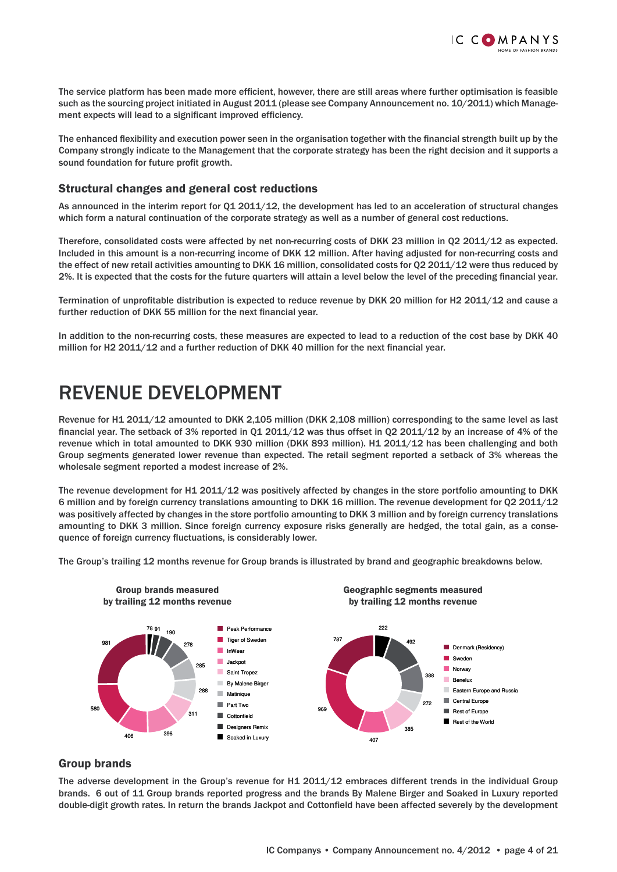

The service platform has been made more efficient, however, there are still areas where further optimisation is feasible such as the sourcing project initiated in August 2011 (please see Company Announcement no. 10/2011) which Management expects will lead to a significant improved efficiency.

The enhanced flexibility and execution power seen in the organisation together with the financial strength built up by the Company strongly indicate to the Management that the corporate strategy has been the right decision and it supports a sound foundation for future profit growth.

### Structural changes and general cost reductions

As announced in the interim report for Q1 2011/12, the development has led to an acceleration of structural changes which form a natural continuation of the corporate strategy as well as a number of general cost reductions.

Therefore, consolidated costs were affected by net non-recurring costs of DKK 23 million in Q2 2011/12 as expected. Included in this amount is a non-recurring income of DKK 12 million. After having adjusted for non-recurring costs and the effect of new retail activities amounting to DKK 16 million, consolidated costs for Q2 2011/12 were thus reduced by 2%. It is expected that the costs for the future quarters will attain a level below the level of the preceding financial year.

Termination of unprofitable distribution is expected to reduce revenue by DKK 20 million for H2 2011/12 and cause a further reduction of DKK 55 million for the next financial year.

In addition to the non-recurring costs, these measures are expected to lead to a reduction of the cost base by DKK 40 million for H2 2011/12 and a further reduction of DKK 40 million for the next financial year.

## REVENUE DEVELOPMENT

Revenue for H1 2011/12 amounted to DKK 2,105 million (DKK 2,108 million) corresponding to the same level as last financial year. The setback of 3% reported in Q1 2011/12 was thus offset in Q2 2011/12 by an increase of 4% of the revenue which in total amounted to DKK 930 million (DKK 893 million). H1 2011/12 has been challenging and both Group segments generated lower revenue than expected. The retail segment reported a setback of 3% whereas the wholesale segment reported a modest increase of 2%.

The revenue development for H1 2011/12 was positively affected by changes in the store portfolio amounting to DKK 6 million and by foreign currency translations amounting to DKK 16 million. The revenue development for Q2 2011/12 was positively affected by changes in the store portfolio amounting to DKK 3 million and by foreign currency translations amounting to DKK 3 million. Since foreign currency exposure risks generally are hedged, the total gain, as a consequence of foreign currency fluctuations, is considerably lower.

The Group's trailing 12 months revenue for Group brands is illustrated by brand and geographic breakdowns below.



#### Group brands

The adverse development in the Group's revenue for H1 2011/12 embraces different trends in the individual Group brands. 6 out of 11 Group brands reported progress and the brands By Malene Birger and Soaked in Luxury reported double-digit growth rates. In return the brands Jackpot and Cottonfield have been affected severely by the development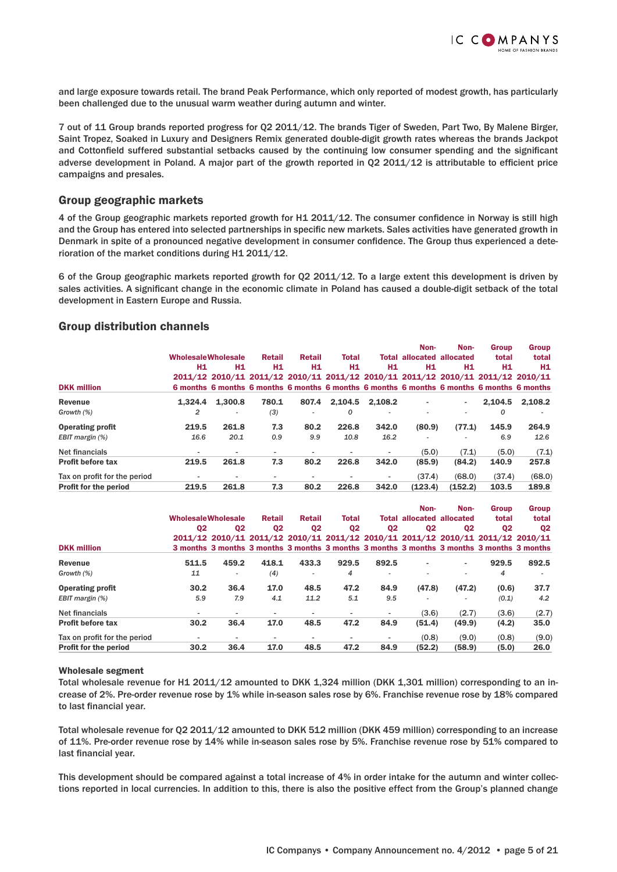

and large exposure towards retail. The brand Peak Performance, which only reported of modest growth, has particularly been challenged due to the unusual warm weather during autumn and winter.

7 out of 11 Group brands reported progress for Q2 2011/12. The brands Tiger of Sweden, Part Two, By Malene Birger, Saint Tropez, Soaked in Luxury and Designers Remix generated double-digit growth rates whereas the brands Jackpot and Cottonfield suffered substantial setbacks caused by the continuing low consumer spending and the significant adverse development in Poland. A major part of the growth reported in  $Q2 2011/12$  is attributable to efficient price campaigns and presales.

#### Group geographic markets

4 of the Group geographic markets reported growth for H1 2011/12. The consumer confidence in Norway is still high and the Group has entered into selected partnerships in specific new markets. Sales activities have generated growth in Denmark in spite of a pronounced negative development in consumer confidence. The Group thus experienced a deterioration of the market conditions during H1 2011/12.

6 of the Group geographic markets reported growth for Q2 2011/12. To a large extent this development is driven by sales activities. A significant change in the economic climate in Poland has caused a double-digit setback of the total development in Eastern Europe and Russia.

#### Group distribution channels

|                              |                           |                                                                                           |                          |                          |                          |         | Non-                             | Non-    | <b>Group</b>   | Group          |
|------------------------------|---------------------------|-------------------------------------------------------------------------------------------|--------------------------|--------------------------|--------------------------|---------|----------------------------------|---------|----------------|----------------|
|                              | <b>WholesaleWholesale</b> |                                                                                           | <b>Retail</b>            | <b>Retail</b>            | <b>Total</b>             |         | <b>Total allocated allocated</b> |         | total          | total          |
|                              | H1                        | H1                                                                                        | H1                       | Н1                       | H1                       | Н1      | Н1                               | H1      | H <sub>1</sub> | H <sub>1</sub> |
|                              |                           | 2011/12 2010/11 2011/12 2010/11 2011/12 2010/11 2011/12 2010/11 2011/12 2010/11           |                          |                          |                          |         |                                  |         |                |                |
| <b>DKK million</b>           |                           | 6 months 6 months 6 months 6 months 6 months 6 months 6 months 6 months 6 months 6 months |                          |                          |                          |         |                                  |         |                |                |
| Revenue                      | 1.324.4                   | 1.300.8                                                                                   | 780.1                    | 807.4                    | 2.104.5                  | 2.108.2 |                                  | ۰       | 2.104.5        | 2,108.2        |
| Growth (%)                   | 2                         |                                                                                           | (3)                      | ٠                        | 0                        |         |                                  |         | 0              |                |
| <b>Operating profit</b>      | 219.5                     | 261.8                                                                                     | 7.3                      | 80.2                     | 226.8                    | 342.0   | (80.9)                           | (77.1)  | 145.9          | 264.9          |
| EBIT margin (%)              | 16.6                      | 20.1                                                                                      | 0.9                      | 9.9                      | 10.8                     | 16.2    |                                  |         | 6.9            | 12.6           |
| <b>Net financials</b>        | $\overline{\phantom{a}}$  | $\overline{\phantom{a}}$                                                                  | $\overline{\phantom{a}}$ | $\overline{\phantom{a}}$ | $\overline{\phantom{a}}$ | ٠       | (5.0)                            | (7.1)   | (5.0)          | (7.1)          |
| <b>Profit before tax</b>     | 219.5                     | 261.8                                                                                     | 7.3                      | 80.2                     | 226.8                    | 342.0   | (85.9)                           | (84.2)  | 140.9          | 257.8          |
| Tax on profit for the period |                           |                                                                                           |                          | $\blacksquare$           |                          |         | (37.4)                           | (68.0)  | (37.4)         | (68.0)         |
| <b>Profit for the period</b> | 219.5                     | 261.8                                                                                     | 7.3                      | 80.2                     | 226.8                    | 342.0   | (123.4)                          | (152.2) | 103.5          | 189.8          |

|                              |                           |                                                                                           |                |                          |                          |                          | Non-                             | Non-                     | <b>Group</b>   | <b>Group</b>   |
|------------------------------|---------------------------|-------------------------------------------------------------------------------------------|----------------|--------------------------|--------------------------|--------------------------|----------------------------------|--------------------------|----------------|----------------|
|                              | <b>WholesaleWholesale</b> |                                                                                           | <b>Retail</b>  | <b>Retail</b>            | <b>Total</b>             |                          | <b>Total allocated allocated</b> |                          | total          | total          |
|                              | Q2                        | Q <sub>2</sub>                                                                            | Q <sub>2</sub> | Q <sub>2</sub>           | Q <sub>2</sub>           | Q <sub>2</sub>           | Q <sub>2</sub>                   | Q <sub>2</sub>           | Q <sub>2</sub> | Q <sub>2</sub> |
|                              |                           | 2011/12 2010/11 2011/12 2010/11 2011/12 2010/11 2011/12 2010/11 2011/12 2010/11           |                |                          |                          |                          |                                  |                          |                |                |
| <b>DKK million</b>           |                           | 3 months 3 months 3 months 3 months 3 months 3 months 3 months 3 months 3 months 3 months |                |                          |                          |                          |                                  |                          |                |                |
| Revenue                      | 511.5                     | 459.2                                                                                     | 418.1          | 433.3                    | 929.5                    | 892.5                    |                                  | ٠                        | 929.5          | 892.5          |
| Growth (%)                   | 11                        | ٠                                                                                         | (4)            | ٠                        | 4                        | $\overline{\phantom{a}}$ |                                  | ۰                        | 4              |                |
| <b>Operating profit</b>      | 30.2                      | 36.4                                                                                      | 17.0           | 48.5                     | 47.2                     | 84.9                     | (47.8)                           | (47.2)                   | (0.6)          | 37.7           |
| EBIT margin (%)              | 5.9                       | 7.9                                                                                       | 4.1            | 11.2                     | 5.1                      | 9.5                      |                                  | $\overline{\phantom{a}}$ | (0.1)          | 4.2            |
| Net financials               | $\overline{\phantom{0}}$  |                                                                                           |                | $\blacksquare$           | $\overline{\phantom{a}}$ |                          | (3.6)                            | (2.7)                    | (3.6)          | (2.7)          |
| <b>Profit before tax</b>     | 30.2                      | 36.4                                                                                      | 17.0           | 48.5                     | 47.2                     | 84.9                     | (51.4)                           | (49.9)                   | (4.2)          | 35.0           |
| Tax on profit for the period | $\blacksquare$            |                                                                                           |                | $\overline{\phantom{0}}$ | $\overline{\phantom{0}}$ | ٠                        | (0.8)                            | (9.0)                    | (0.8)          | (9.0)          |
| <b>Profit for the period</b> | 30.2                      | 36.4                                                                                      | 17.0           | 48.5                     | 47.2                     | 84.9                     | (52.2)                           | (58.9)                   | (5.0)          | 26.0           |

#### Wholesale segment

Total wholesale revenue for H1 2011/12 amounted to DKK 1,324 million (DKK 1,301 million) corresponding to an increase of 2%. Pre-order revenue rose by 1% while in-season sales rose by 6%. Franchise revenue rose by 18% compared to last financial year.

Total wholesale revenue for Q2 2011/12 amounted to DKK 512 million (DKK 459 million) corresponding to an increase of 11%. Pre-order revenue rose by 14% while in-season sales rose by 5%. Franchise revenue rose by 51% compared to last financial year.

This development should be compared against a total increase of 4% in order intake for the autumn and winter collections reported in local currencies. In addition to this, there is also the positive effect from the Group's planned change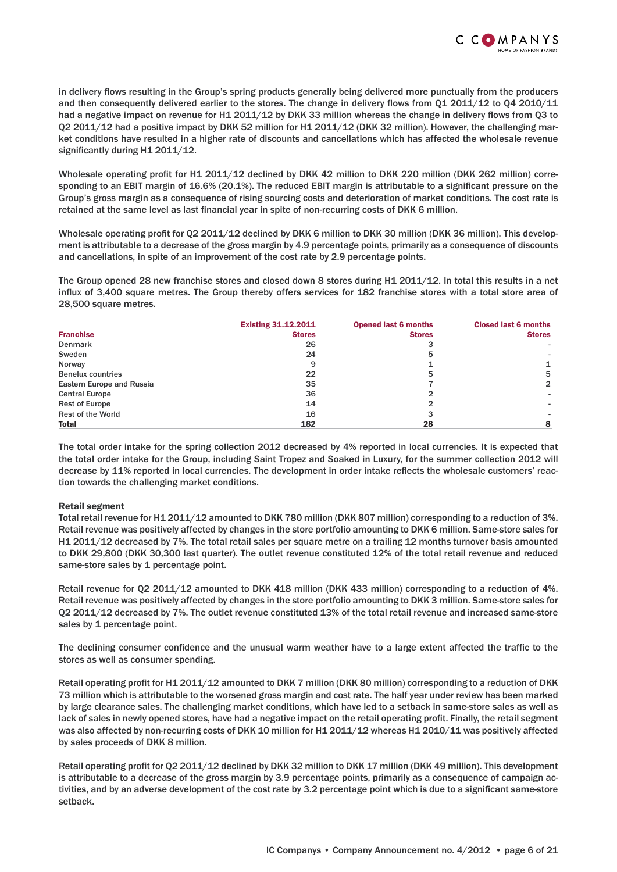

in delivery flows resulting in the Group's spring products generally being delivered more punctually from the producers and then consequently delivered earlier to the stores. The change in delivery flows from  $Q1 2011/12$  to  $Q4 2010/11$ had a negative impact on revenue for H1 2011/12 by DKK 33 million whereas the change in delivery flows from Q3 to Q2 2011/12 had a positive impact by DKK 52 million for H1 2011/12 (DKK 32 million). However, the challenging market conditions have resulted in a higher rate of discounts and cancellations which has affected the wholesale revenue significantly during  $H1 2011/12$ .

Wholesale operating profit for H1 2011/12 declined by DKK 42 million to DKK 220 million (DKK 262 million) corresponding to an EBIT margin of 16.6% (20.1%). The reduced EBIT margin is attributable to a significant pressure on the Group's gross margin as a consequence of rising sourcing costs and deterioration of market conditions. The cost rate is retained at the same level as last financial year in spite of non-recurring costs of DKK 6 million.

Wholesale operating profit for Q2 2011/12 declined by DKK 6 million to DKK 30 million (DKK 36 million). This development is attributable to a decrease of the gross margin by 4.9 percentage points, primarily as a consequence of discounts and cancellations, in spite of an improvement of the cost rate by 2.9 percentage points.

The Group opened 28 new franchise stores and closed down 8 stores during H1 2011/12. In total this results in a net influx of 3,400 square metres. The Group thereby offers services for 182 franchise stores with a total store area of 28,500 square metres.

|                           | <b>Existing 31.12.2011</b> | <b>Opened last 6 months</b> | <b>Closed last 6 months</b> |
|---------------------------|----------------------------|-----------------------------|-----------------------------|
| <b>Franchise</b>          | <b>Stores</b>              | <b>Stores</b>               | <b>Stores</b>               |
| <b>Denmark</b>            | 26                         |                             |                             |
| Sweden                    | 24                         |                             |                             |
| Norway                    | 9                          |                             |                             |
| <b>Benelux countries</b>  | 22                         | ხ                           | 5                           |
| Eastern Europe and Russia | 35                         |                             | $\mathbf{2}$                |
| <b>Central Europe</b>     | 36                         |                             |                             |
| <b>Rest of Europe</b>     | 14                         |                             |                             |
| <b>Rest of the World</b>  | 16                         |                             |                             |
| Total                     | 182                        | 28                          |                             |

The total order intake for the spring collection 2012 decreased by 4% reported in local currencies. It is expected that the total order intake for the Group, including Saint Tropez and Soaked in Luxury, for the summer collection 2012 will decrease by 11% reported in local currencies. The development in order intake reflects the wholesale customers' reaction towards the challenging market conditions.

#### Retail segment

Total retail revenue for H1 2011/12 amounted to DKK 780 million (DKK 807 million) corresponding to a reduction of 3%. Retail revenue was positively affected by changes in the store portfolio amounting to DKK 6 million. Same-store sales for H1 2011/12 decreased by 7%. The total retail sales per square metre on a trailing 12 months turnover basis amounted to DKK 29,800 (DKK 30,300 last quarter). The outlet revenue constituted 12% of the total retail revenue and reduced same-store sales by 1 percentage point.

Retail revenue for Q2 2011/12 amounted to DKK 418 million (DKK 433 million) corresponding to a reduction of 4%. Retail revenue was positively affected by changes in the store portfolio amounting to DKK 3 million. Same-store sales for Q2 2011/12 decreased by 7%. The outlet revenue constituted 13% of the total retail revenue and increased same-store sales by 1 percentage point.

The declining consumer confidence and the unusual warm weather have to a large extent affected the traffic to the stores as well as consumer spending.

Retail operating profit for H1 2011/12 amounted to DKK 7 million (DKK 80 million) corresponding to a reduction of DKK 73 million which is attributable to the worsened gross margin and cost rate. The half year under review has been marked by large clearance sales. The challenging market conditions, which have led to a setback in same-store sales as well as lack of sales in newly opened stores, have had a negative impact on the retail operating profit. Finally, the retail segment was also affected by non-recurring costs of DKK 10 million for H1 2011/12 whereas H1 2010/11 was positively affected by sales proceeds of DKK 8 million.

Retail operating profit for Q2 2011/12 declined by DKK 32 million to DKK 17 million (DKK 49 million). This development is attributable to a decrease of the gross margin by 3.9 percentage points, primarily as a consequence of campaign activities, and by an adverse development of the cost rate by 3.2 percentage point which is due to a significant same-store setback.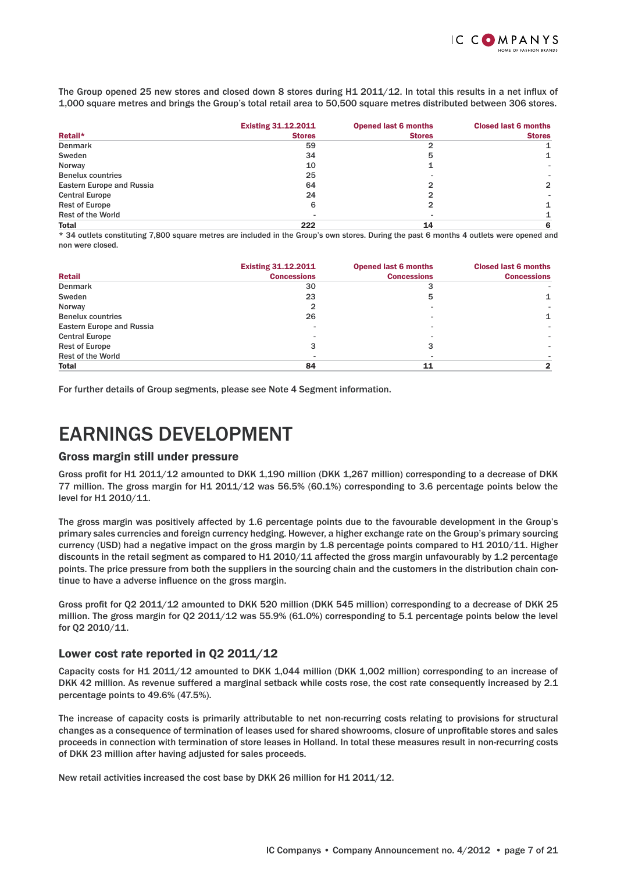

The Group opened 25 new stores and closed down 8 stores during H1 2011/12. In total this results in a net influx of 1,000 square metres and brings the Group's total retail area to 50,500 square metres distributed between 306 stores.

|                                  | <b>Existing 31.12.2011</b> | <b>Opened last 6 months</b> | <b>Closed last 6 months</b> |
|----------------------------------|----------------------------|-----------------------------|-----------------------------|
| Retail*                          | <b>Stores</b>              | <b>Stores</b>               | <b>Stores</b>               |
| <b>Denmark</b>                   | 59                         |                             |                             |
| Sweden                           | 34                         | 5                           |                             |
| Norway                           | 10                         |                             |                             |
| <b>Benelux countries</b>         | 25                         |                             |                             |
| <b>Eastern Europe and Russia</b> | 64                         |                             | $\overline{2}$              |
| <b>Central Europe</b>            | 24                         |                             |                             |
| <b>Rest of Europe</b>            | 6                          |                             |                             |
| <b>Rest of the World</b>         |                            |                             |                             |
| Total                            | 222                        | 14                          | 6                           |

\* 34 outlets constituting 7,800 square metres are included in the Group's own stores. During the past 6 months 4 outlets were opened and non were closed.

|                           | <b>Existing 31.12.2011</b> | <b>Opened last 6 months</b> | <b>Closed last 6 months</b> |
|---------------------------|----------------------------|-----------------------------|-----------------------------|
| <b>Retail</b>             | <b>Concessions</b>         | <b>Concessions</b>          | <b>Concessions</b>          |
| <b>Denmark</b>            | 30                         |                             |                             |
| Sweden                    | 23                         | 5                           |                             |
| Norway                    | 2                          |                             |                             |
| <b>Benelux countries</b>  | 26                         |                             |                             |
| Eastern Europe and Russia |                            |                             |                             |
| <b>Central Europe</b>     |                            |                             |                             |
| <b>Rest of Europe</b>     |                            |                             |                             |
| <b>Rest of the World</b>  |                            |                             |                             |
| Total                     | 84                         | 11                          |                             |

For further details of Group segments, please see Note 4 Segment information.

## EARNINGS DEVELOPMENT

#### Gross margin still under pressure

Gross profit for H1 2011/12 amounted to DKK 1,190 million (DKK 1,267 million) corresponding to a decrease of DKK 77 million. The gross margin for H1 2011/12 was 56.5% (60.1%) corresponding to 3.6 percentage points below the level for H1 2010/11.

The gross margin was positively affected by 1.6 percentage points due to the favourable development in the Group's primary sales currencies and foreign currency hedging. However, a higher exchange rate on the Group's primary sourcing currency (USD) had a negative impact on the gross margin by 1.8 percentage points compared to H1 2010/11. Higher discounts in the retail segment as compared to H1 2010/11 affected the gross margin unfavourably by 1.2 percentage points. The price pressure from both the suppliers in the sourcing chain and the customers in the distribution chain continue to have a adverse influence on the gross margin.

Gross profit for Q2 2011/12 amounted to DKK 520 million (DKK 545 million) corresponding to a decrease of DKK 25 million. The gross margin for Q2 2011/12 was 55.9% (61.0%) corresponding to 5.1 percentage points below the level for Q2 2010/11.

## Lower cost rate reported in Q2 2011/12

Capacity costs for H1 2011/12 amounted to DKK 1,044 million (DKK 1,002 million) corresponding to an increase of DKK 42 million. As revenue suffered a marginal setback while costs rose, the cost rate consequently increased by 2.1 percentage points to 49.6% (47.5%).

The increase of capacity costs is primarily attributable to net non-recurring costs relating to provisions for structural changes as a consequence of termination of leases used for shared showrooms, closure of unprofitable stores and sales proceeds in connection with termination of store leases in Holland. In total these measures result in non-recurring costs of DKK 23 million after having adjusted for sales proceeds.

New retail activities increased the cost base by DKK 26 million for H1 2011/12.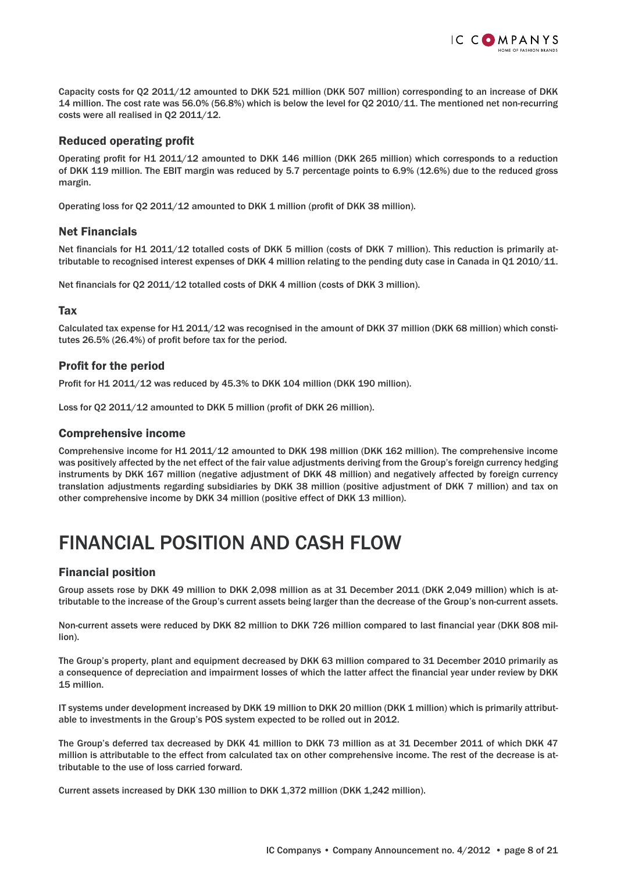

Capacity costs for Q2 2011/12 amounted to DKK 521 million (DKK 507 million) corresponding to an increase of DKK 14 million. The cost rate was 56.0% (56.8%) which is below the level for Q2 2010/11. The mentioned net non-recurring costs were all realised in Q2 2011/12.

## **Reduced operating profit**

Operating profit for H1 2011/12 amounted to DKK 146 million (DKK 265 million) which corresponds to a reduction of DKK 119 million. The EBIT margin was reduced by 5.7 percentage points to 6.9% (12.6%) due to the reduced gross margin.

Operating loss for Q2 2011/12 amounted to DKK 1 million (profit of DKK 38 million).

## Net Financials

Net financials for H1 2011/12 totalled costs of DKK 5 million (costs of DKK 7 million). This reduction is primarily attributable to recognised interest expenses of DKK 4 million relating to the pending duty case in Canada in Q1 2010/11.

Net financials for Q2 2011/12 totalled costs of DKK 4 million (costs of DKK 3 million).

## **Tax**

Calculated tax expense for H1 2011/12 was recognised in the amount of DKK 37 million (DKK 68 million) which constitutes 26.5% (26.4%) of profit before tax for the period.

## Profit for the period

Profit for H1 2011/12 was reduced by 45.3% to DKK 104 million (DKK 190 million).

Loss for Q2 2011/12 amounted to DKK 5 million (profit of DKK 26 million).

### Comprehensive income

Comprehensive income for H1 2011/12 amounted to DKK 198 million (DKK 162 million). The comprehensive income was positively affected by the net effect of the fair value adjustments deriving from the Group's foreign currency hedging instruments by DKK 167 million (negative adjustment of DKK 48 million) and negatively affected by foreign currency translation adjustments regarding subsidiaries by DKK 38 million (positive adjustment of DKK 7 million) and tax on other comprehensive income by DKK 34 million (positive effect of DKK 13 million).

# FINANCIAL POSITION AND CASH FLOW

## Financial position

Group assets rose by DKK 49 million to DKK 2,098 million as at 31 December 2011 (DKK 2,049 million) which is attributable to the increase of the Group's current assets being larger than the decrease of the Group's non-current assets.

Non-current assets were reduced by DKK 82 million to DKK 726 million compared to last financial year (DKK 808 million).

The Group's property, plant and equipment decreased by DKK 63 million compared to 31 December 2010 primarily as a consequence of depreciation and impairment losses of which the latter affect the financial year under review by DKK 15 million.

IT systems under development increased by DKK 19 million to DKK 20 million (DKK 1 million) which is primarily attributable to investments in the Group's POS system expected to be rolled out in 2012.

The Group's deferred tax decreased by DKK 41 million to DKK 73 million as at 31 December 2011 of which DKK 47 million is attributable to the effect from calculated tax on other comprehensive income. The rest of the decrease is attributable to the use of loss carried forward.

Current assets increased by DKK 130 million to DKK 1,372 million (DKK 1,242 million).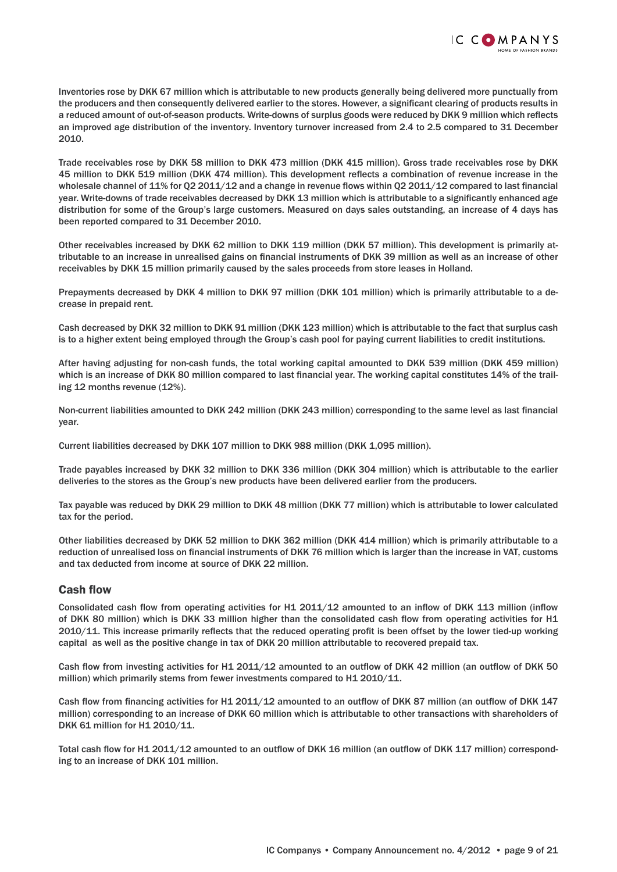

Inventories rose by DKK 67 million which is attributable to new products generally being delivered more punctually from the producers and then consequently delivered earlier to the stores. However, a significant clearing of products results in a reduced amount of out-of-season products. Write-downs of surplus goods were reduced by DKK 9 million which reflects an improved age distribution of the inventory. Inventory turnover increased from 2.4 to 2.5 compared to 31 December 2010.

Trade receivables rose by DKK 58 million to DKK 473 million (DKK 415 million). Gross trade receivables rose by DKK 45 million to DKK 519 million (DKK 474 million). This development reflects a combination of revenue increase in the wholesale channel of 11% for Q2 2011/12 and a change in revenue flows within Q2 2011/12 compared to last financial year. Write-downs of trade receivables decreased by DKK 13 million which is attributable to a significantly enhanced age distribution for some of the Group's large customers. Measured on days sales outstanding, an increase of 4 days has been reported compared to 31 December 2010.

Other receivables increased by DKK 62 million to DKK 119 million (DKK 57 million). This development is primarily attributable to an increase in unrealised gains on financial instruments of DKK 39 million as well as an increase of other receivables by DKK 15 million primarily caused by the sales proceeds from store leases in Holland.

Prepayments decreased by DKK 4 million to DKK 97 million (DKK 101 million) which is primarily attributable to a decrease in prepaid rent.

Cash decreased by DKK 32 million to DKK 91 million (DKK 123 million) which is attributable to the fact that surplus cash is to a higher extent being employed through the Group's cash pool for paying current liabilities to credit institutions.

After having adjusting for non-cash funds, the total working capital amounted to DKK 539 million (DKK 459 million) which is an increase of DKK 80 million compared to last financial year. The working capital constitutes 14% of the trailing 12 months revenue (12%).

Non-current liabilities amounted to DKK 242 million (DKK 243 million) corresponding to the same level as last financial year.

Current liabilities decreased by DKK 107 million to DKK 988 million (DKK 1,095 million).

Trade payables increased by DKK 32 million to DKK 336 million (DKK 304 million) which is attributable to the earlier deliveries to the stores as the Group's new products have been delivered earlier from the producers.

Tax payable was reduced by DKK 29 million to DKK 48 million (DKK 77 million) which is attributable to lower calculated tax for the period.

Other liabilities decreased by DKK 52 million to DKK 362 million (DKK 414 million) which is primarily attributable to a reduction of unrealised loss on financial instruments of DKK 76 million which is larger than the increase in VAT, customs and tax deducted from income at source of DKK 22 million.

#### **Cash flow**

Consolidated cash flow from operating activities for H1 2011/12 amounted to an inflow of DKK 113 million (inflow of DKK 80 million) which is DKK 33 million higher than the consolidated cash flow from operating activities for H1 2010/11. This increase primarily reflects that the reduced operating profit is been offset by the lower tied-up working capital as well as the positive change in tax of DKK 20 million attributable to recovered prepaid tax.

Cash flow from investing activities for H1 2011/12 amounted to an outflow of DKK 42 million (an outflow of DKK 50 million) which primarily stems from fewer investments compared to H1 2010/11.

Cash flow from financing activities for H1 2011/12 amounted to an outflow of DKK 87 million (an outflow of DKK 147 million) corresponding to an increase of DKK 60 million which is attributable to other transactions with shareholders of DKK 61 million for H1 2010/11.

Total cash flow for H1 2011/12 amounted to an outflow of DKK 16 million (an outflow of DKK 117 million) corresponding to an increase of DKK 101 million.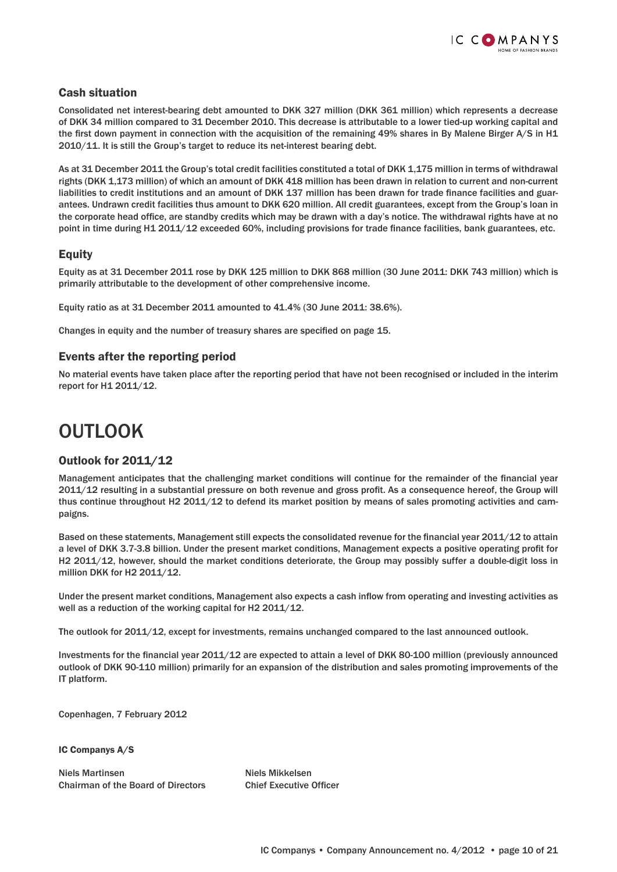

## Cash situation

Consolidated net interest-bearing debt amounted to DKK 327 million (DKK 361 million) which represents a decrease of DKK 34 million compared to 31 December 2010. This decrease is attributable to a lower tied-up working capital and the first down payment in connection with the acquisition of the remaining 49% shares in By Malene Birger A/S in H1 2010/11. It is still the Group's target to reduce its net-interest bearing debt.

As at 31 December 2011 the Group's total credit facilities constituted a total of DKK 1,175 million in terms of withdrawal rights (DKK 1,173 million) of which an amount of DKK 418 million has been drawn in relation to current and non-current liabilities to credit institutions and an amount of DKK 137 million has been drawn for trade finance facilities and guarantees. Undrawn credit facilities thus amount to DKK 620 million. All credit guarantees, except from the Group's loan in the corporate head office, are standby credits which may be drawn with a day's notice. The withdrawal rights have at no point in time during H1 2011/12 exceeded 60%, including provisions for trade finance facilities, bank guarantees, etc.

## Equity

Equity as at 31 December 2011 rose by DKK 125 million to DKK 868 million (30 June 2011: DKK 743 million) which is primarily attributable to the development of other comprehensive income.

Equity ratio as at 31 December 2011 amounted to 41.4% (30 June 2011: 38.6%).

Changes in equity and the number of treasury shares are specified on page 15.

## Events after the reporting period

No material events have taken place after the reporting period that have not been recognised or included in the interim report for H1 2011/12.

# OUTLOOK

## Outlook for 2011/12

Management anticipates that the challenging market conditions will continue for the remainder of the financial year 2011/12 resulting in a substantial pressure on both revenue and gross profit. As a consequence hereof, the Group will thus continue throughout H2 2011/12 to defend its market position by means of sales promoting activities and campaigns.

Based on these statements, Management still expects the consolidated revenue for the financial year 2011/12 to attain a level of DKK 3.7-3.8 billion. Under the present market conditions, Management expects a positive operating profit for H2 2011/12, however, should the market conditions deteriorate, the Group may possibly suffer a double-digit loss in million DKK for H2 2011/12.

Under the present market conditions, Management also expects a cash inflow from operating and investing activities as well as a reduction of the working capital for H2 2011/12.

The outlook for 2011/12, except for investments, remains unchanged compared to the last announced outlook.

Investments for the financial year 2011/12 are expected to attain a level of DKK 80-100 million (previously announced outlook of DKK 90-110 million) primarily for an expansion of the distribution and sales promoting improvements of the IT platform.

Copenhagen, 7 February 2012

IC Companys A/S

Niels Martinsen Niels Mikkelsen Chairman of the Board of Directors Chief Executive Officer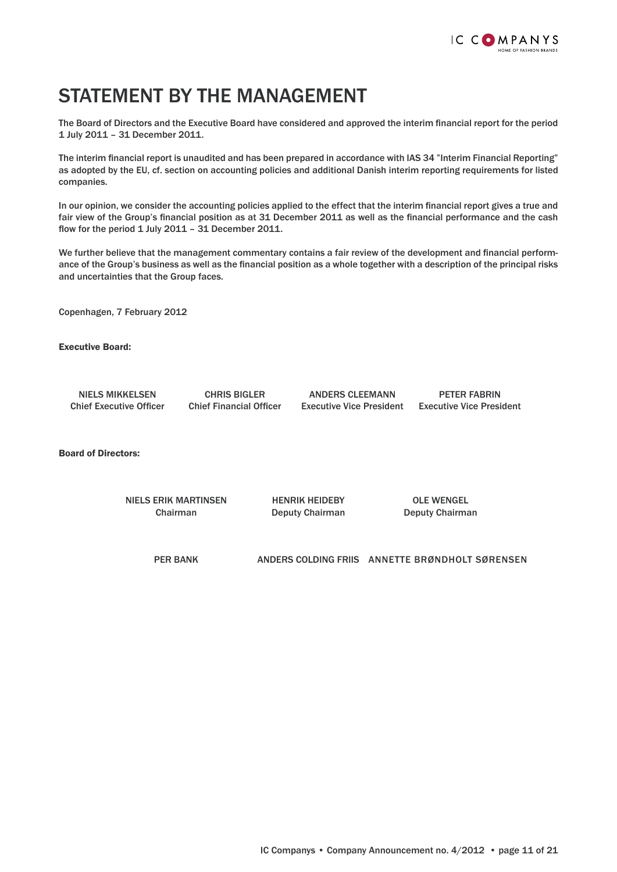

## STATEMENT BY THE MANAGEMENT

The Board of Directors and the Executive Board have considered and approved the interim financial report for the period 1 July 2011 – 31 December 2011.

The interim financial report is unaudited and has been prepared in accordance with IAS 34 "Interim Financial Reporting" as adopted by the EU, cf. section on accounting policies and additional Danish interim reporting requirements for listed companies.

In our opinion, we consider the accounting policies applied to the effect that the interim financial report gives a true and fair view of the Group's financial position as at 31 December 2011 as well as the financial performance and the cash flow for the period  $1$  July 2011 - 31 December 2011.

We further believe that the management commentary contains a fair review of the development and financial performance of the Group's business as well as the financial position as a whole together with a description of the principal risks and uncertainties that the Group faces.

Copenhagen, 7 February 2012

Executive Board:

 NIELS MIKKELSEN CHRIS BIGLER ANDERS CLEEMANN PETER FABRIN Chief Executive Officer Chief Financial Officer Executive Vice President Executive Vice President

Board of Directors:

 NIELS ERIK MARTINSEN HENRIK HEIDEBY OLE WENGEL Chairman Deputy Chairman Deputy Chairman

PER BANK ANDERS COLDING FRIIS ANNETTE BRØNDHOLT SØRENSEN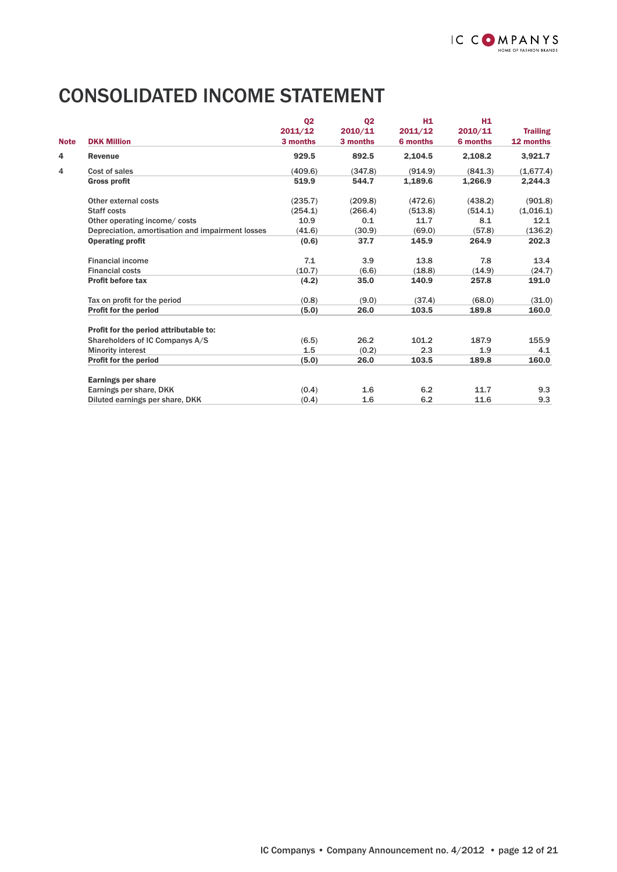# CONSOLIDATED INCOME STATEMENT

|             |                                                  | Q <sub>2</sub> | 02       | H1       | H1       |                 |
|-------------|--------------------------------------------------|----------------|----------|----------|----------|-----------------|
|             |                                                  | 2011/12        | 2010/11  | 2011/12  | 2010/11  | <b>Trailing</b> |
| <b>Note</b> | <b>DKK Million</b>                               | 3 months       | 3 months | 6 months | 6 months | 12 months       |
| 4           | <b>Revenue</b>                                   | 929.5          | 892.5    | 2.104.5  | 2,108.2  | 3,921.7         |
| 4           | Cost of sales                                    | (409.6)        | (347.8)  | (914.9)  | (841.3)  | (1,677.4)       |
|             | <b>Gross profit</b>                              | 519.9          | 544.7    | 1.189.6  | 1.266.9  | 2,244.3         |
|             | Other external costs                             | (235.7)        | (209.8)  | (472.6)  | (438.2)  | (901.8)         |
|             | <b>Staff costs</b>                               | (254.1)        | (266.4)  | (513.8)  | (514.1)  | (1,016.1)       |
|             | Other operating income/costs                     | 10.9           | 0.1      | 11.7     | 8.1      | 12.1            |
|             | Depreciation, amortisation and impairment losses | (41.6)         | (30.9)   | (69.0)   | (57.8)   | (136.2)         |
|             | <b>Operating profit</b>                          | (0.6)          | 37.7     | 145.9    | 264.9    | 202.3           |
|             | <b>Financial income</b>                          | 7.1            | 3.9      | 13.8     | 7.8      | 13.4            |
|             | <b>Financial costs</b>                           | (10.7)         | (6.6)    | (18.8)   | (14.9)   | (24.7)          |
|             | <b>Profit before tax</b>                         | (4.2)          | 35.0     | 140.9    | 257.8    | 191.0           |
|             | Tax on profit for the period                     | (0.8)          | (9.0)    | (37.4)   | (68.0)   | (31.0)          |
|             | <b>Profit for the period</b>                     | (5.0)          | 26.0     | 103.5    | 189.8    | 160.0           |
|             | Profit for the period attributable to:           |                |          |          |          |                 |
|             | Shareholders of IC Companys A/S                  | (6.5)          | 26.2     | 101.2    | 187.9    | 155.9           |
|             | <b>Minority interest</b>                         | 1.5            | (0.2)    | 2.3      | 1.9      | 4.1             |
|             | <b>Profit for the period</b>                     | (5.0)          | 26.0     | 103.5    | 189.8    | 160.0           |
|             | <b>Earnings per share</b>                        |                |          |          |          |                 |
|             | Earnings per share, DKK                          | (0.4)          | 1.6      | 6.2      | 11.7     | 9.3             |
|             | Diluted earnings per share, DKK                  | (0.4)          | 1.6      | 6.2      | 11.6     | 9.3             |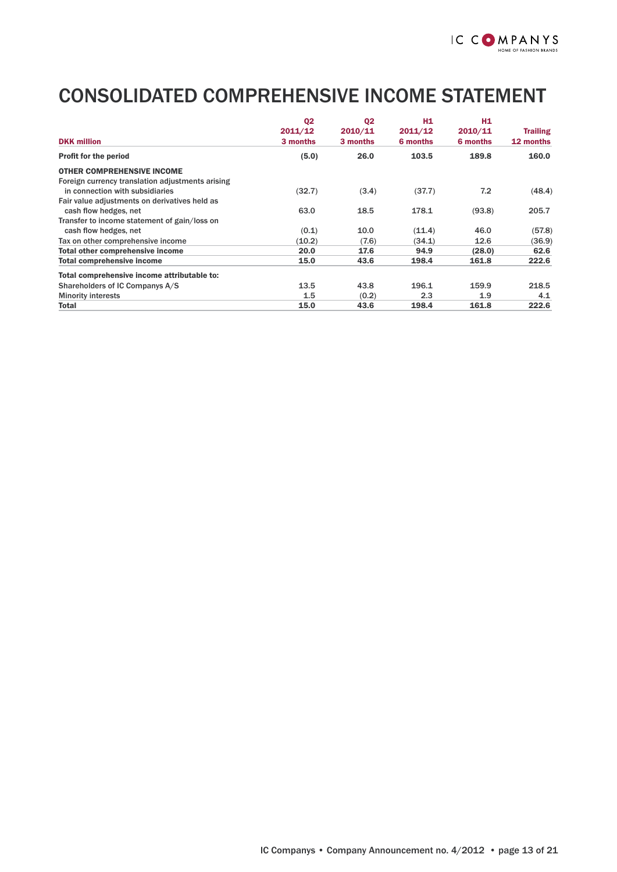# CONSOLIDATED COMPREHENSIVE INCOME STATEMENT

|                                                  | Q <sub>2</sub> | Q <sub>2</sub> | H1       | H <sub>1</sub> |                 |
|--------------------------------------------------|----------------|----------------|----------|----------------|-----------------|
|                                                  | 2011/12        | 2010/11        | 2011/12  | 2010/11        | <b>Trailing</b> |
| <b>DKK million</b>                               | 3 months       | 3 months       | 6 months | 6 months       | 12 months       |
| <b>Profit for the period</b>                     | (5.0)          | 26.0           | 103.5    | 189.8          | 160.0           |
| <b>OTHER COMPREHENSIVE INCOME</b>                |                |                |          |                |                 |
| Foreign currency translation adjustments arising |                |                |          |                |                 |
| in connection with subsidiaries                  | (32.7)         | (3.4)          | (37.7)   | 7.2            | (48.4)          |
| Fair value adjustments on derivatives held as    |                |                |          |                |                 |
| cash flow hedges, net                            | 63.0           | 18.5           | 178.1    | (93.8)         | 205.7           |
| Transfer to income statement of gain/loss on     |                |                |          |                |                 |
| cash flow hedges, net                            | (0.1)          | 10.0           | (11.4)   | 46.0           | (57.8)          |
| Tax on other comprehensive income                | (10.2)         | (7.6)          | (34.1)   | 12.6           | (36.9)          |
| Total other comprehensive income                 | 20.0           | 17.6           | 94.9     | (28.0)         | 62.6            |
| <b>Total comprehensive income</b>                | 15.0           | 43.6           | 198.4    | 161.8          | 222.6           |
| Total comprehensive income attributable to:      |                |                |          |                |                 |
| Shareholders of IC Companys A/S                  | 13.5           | 43.8           | 196.1    | 159.9          | 218.5           |
| <b>Minority interests</b>                        | 1.5            | (0.2)          | 2.3      | 1.9            | 4.1             |
| <b>Total</b>                                     | 15.0           | 43.6           | 198.4    | 161.8          | 222.6           |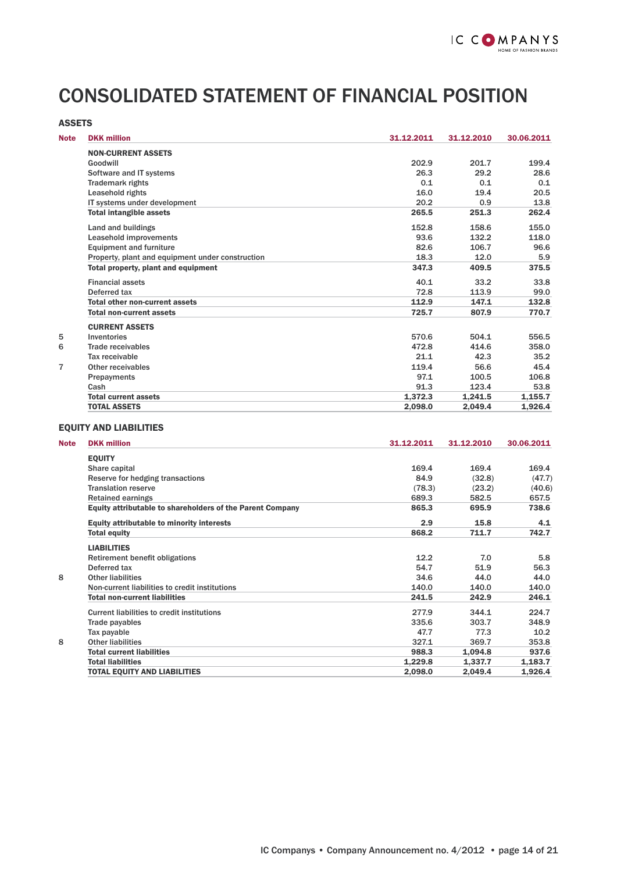# CONSOLIDATED STATEMENT OF FINANCIAL POSITION

| <b>ASSETS</b> |                                                  |            |            |            |
|---------------|--------------------------------------------------|------------|------------|------------|
| <b>Note</b>   | <b>DKK</b> million                               | 31.12.2011 | 31.12.2010 | 30.06.2011 |
|               | <b>NON-CURRENT ASSETS</b>                        |            |            |            |
|               | Goodwill                                         | 202.9      | 201.7      | 199.4      |
|               | Software and IT systems                          | 26.3       | 29.2       | 28.6       |
|               | <b>Trademark rights</b>                          | 0.1        | 0.1        | 0.1        |
|               | Leasehold rights                                 | 16.0       | 19.4       | 20.5       |
|               | IT systems under development                     | 20.2       | 0.9        | 13.8       |
|               | <b>Total intangible assets</b>                   | 265.5      | 251.3      | 262.4      |
|               | Land and buildings                               | 152.8      | 158.6      | 155.0      |
|               | Leasehold improvements                           | 93.6       | 132.2      | 118.0      |
|               | <b>Equipment and furniture</b>                   | 82.6       | 106.7      | 96.6       |
|               | Property, plant and equipment under construction | 18.3       | 12.0       | 5.9        |
|               | Total property, plant and equipment              | 347.3      | 409.5      | 375.5      |
|               | <b>Financial assets</b>                          | 40.1       | 33.2       | 33.8       |
|               | Deferred tax                                     | 72.8       | 113.9      | 99.0       |
|               | <b>Total other non-current assets</b>            | 112.9      | 147.1      | 132.8      |
|               | <b>Total non-current assets</b>                  | 725.7      | 807.9      | 770.7      |
|               | <b>CURRENT ASSETS</b>                            |            |            |            |
| 5             | Inventories                                      | 570.6      | 504.1      | 556.5      |
| 6             | Trade receivables                                | 472.8      | 414.6      | 358.0      |
|               | Tax receivable                                   | 21.1       | 42.3       | 35.2       |
| 7             | Other receivables                                | 119.4      | 56.6       | 45.4       |
|               | Prepayments                                      | 97.1       | 100.5      | 106.8      |
|               | Cash                                             | 91.3       | 123.4      | 53.8       |
|               | <b>Total current assets</b>                      | 1.372.3    | 1.241.5    | 1.155.7    |
|               | <b>TOTAL ASSETS</b>                              | 2.098.0    | 2.049.4    | 1,926.4    |

#### EQUITY AND LIABILITIES

| <b>Note</b> | <b>DKK million</b>                                               | 31.12.2011 | 31.12.2010 | 30.06.2011 |
|-------------|------------------------------------------------------------------|------------|------------|------------|
|             | <b>EQUITY</b>                                                    |            |            |            |
|             | Share capital                                                    | 169.4      | 169.4      | 169.4      |
|             | Reserve for hedging transactions                                 | 84.9       | (32.8)     | (47.7)     |
|             | <b>Translation reserve</b>                                       | (78.3)     | (23.2)     | (40.6)     |
|             | <b>Retained earnings</b>                                         | 689.3      | 582.5      | 657.5      |
|             | <b>Equity attributable to shareholders of the Parent Company</b> | 865.3      | 695.9      | 738.6      |
|             | <b>Equity attributable to minority interests</b>                 | 2.9        | 15.8       | 4.1        |
|             | <b>Total equity</b>                                              | 868.2      | 711.7      | 742.7      |
|             | <b>LIABILITIES</b>                                               |            |            |            |
|             | Retirement benefit obligations                                   | 12.2       | 7.0        | 5.8        |
|             | Deferred tax                                                     | 54.7       | 51.9       | 56.3       |
| 8           | <b>Other liabilities</b>                                         | 34.6       | 44.0       | 44.0       |
|             | Non-current liabilities to credit institutions                   | 140.0      | 140.0      | 140.0      |
|             | <b>Total non-current liabilities</b>                             | 241.5      | 242.9      | 246.1      |
|             | Current liabilities to credit institutions                       | 277.9      | 344.1      | 224.7      |
|             | Trade payables                                                   | 335.6      | 303.7      | 348.9      |
|             | Tax payable                                                      | 47.7       | 77.3       | 10.2       |
| 8           | <b>Other liabilities</b>                                         | 327.1      | 369.7      | 353.8      |
|             | <b>Total current liabilities</b>                                 | 988.3      | 1,094.8    | 937.6      |
|             | <b>Total liabilities</b>                                         | 1,229.8    | 1.337.7    | 1,183.7    |
|             | <b>TOTAL EQUITY AND LIABILITIES</b>                              | 2,098.0    | 2,049.4    | 1,926.4    |
|             |                                                                  |            |            |            |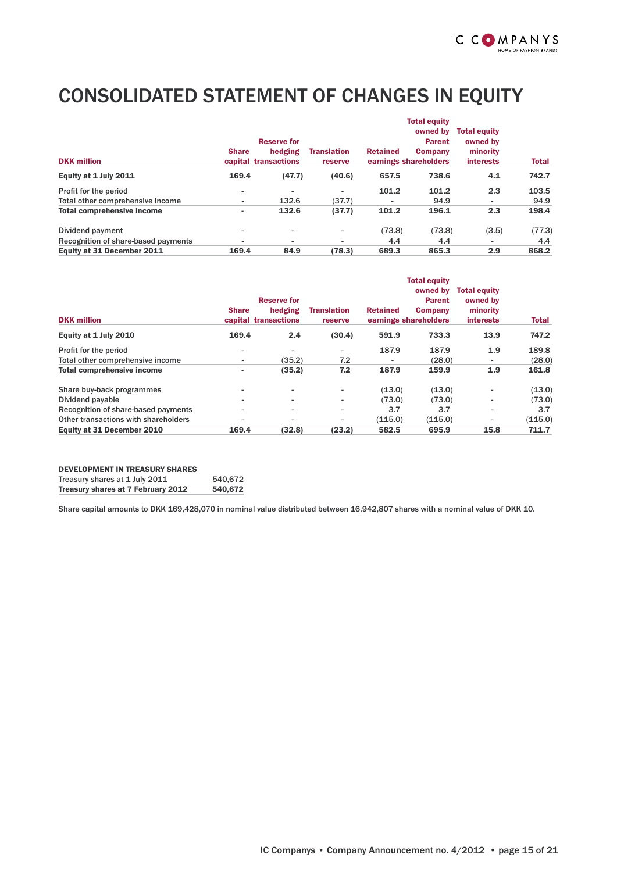# CONSOLIDATED STATEMENT OF CHANGES IN EQUITY

|                                     |                          |                                 |                               |                          | <b>Total equity</b>                     |                                 |              |
|-------------------------------------|--------------------------|---------------------------------|-------------------------------|--------------------------|-----------------------------------------|---------------------------------|--------------|
|                                     |                          | <b>Reserve for</b>              |                               |                          | owned by<br><b>Parent</b>               | <b>Total equity</b><br>owned by |              |
| <b>DKK</b> million                  | <b>Share</b>             | hedging<br>capital transactions | <b>Translation</b><br>reserve | <b>Retained</b>          | <b>Company</b><br>earnings shareholders | minority<br><b>interests</b>    | <b>Total</b> |
| Equity at 1 July 2011               | 169.4                    | (47.7)                          | (40.6)                        | 657.5                    | 738.6                                   | 4.1                             | 742.7        |
| Profit for the period               | ۰                        |                                 |                               | 101.2                    | 101.2                                   | 2.3                             | 103.5        |
| Total other comprehensive income    | ۰.                       | 132.6                           | (37.7)                        | $\overline{\phantom{a}}$ | 94.9                                    | ٠                               | 94.9         |
| <b>Total comprehensive income</b>   | ۰.                       | 132.6                           | (37.7)                        | 101.2                    | 196.1                                   | 2.3                             | 198.4        |
| Dividend payment                    | ۰                        | $\overline{\phantom{a}}$        | -                             | (73.8)                   | (73.8)                                  | (3.5)                           | (77.3)       |
| Recognition of share-based payments | $\overline{\phantom{a}}$ | $\overline{\phantom{0}}$        |                               | 4.4                      | 4.4                                     | $\overline{\phantom{a}}$        | 4.4          |
| Equity at 31 December 2011          | 169.4                    | 84.9                            | (78.3)                        | 689.3                    | 865.3                                   | 2.9                             | 868.2        |

| <b>DKK</b> million                   | <b>Share</b> | <b>Reserve for</b><br>hedging<br>capital transactions | <b>Translation</b><br>reserve | <b>Retained</b>          | <b>Total equity</b><br>owned by<br><b>Parent</b><br><b>Company</b><br>earnings shareholders | <b>Total equity</b><br>owned by<br>minority<br><b>interests</b> | <b>Total</b> |
|--------------------------------------|--------------|-------------------------------------------------------|-------------------------------|--------------------------|---------------------------------------------------------------------------------------------|-----------------------------------------------------------------|--------------|
| Equity at 1 July 2010                | 169.4        | 2.4                                                   | (30.4)                        | 591.9                    | 733.3                                                                                       | 13.9                                                            | 747.2        |
| Profit for the period                |              | $\blacksquare$                                        |                               | 187.9                    | 187.9                                                                                       | 1.9                                                             | 189.8        |
| Total other comprehensive income     | ۰.           | (35.2)                                                | 7.2                           | $\overline{\phantom{a}}$ | (28.0)                                                                                      | $\overline{\phantom{a}}$                                        | (28.0)       |
| <b>Total comprehensive income</b>    |              | (35.2)                                                | 7.2                           | 187.9                    | 159.9                                                                                       | 1.9                                                             | 161.8        |
| Share buy-back programmes            |              | $\overline{\phantom{a}}$                              | $\blacksquare$                | (13.0)                   | (13.0)                                                                                      | $\overline{\phantom{a}}$                                        | (13.0)       |
| Dividend payable                     |              | $\overline{\phantom{0}}$                              | ٠                             | (73.0)                   | (73.0)                                                                                      | $\overline{\phantom{a}}$                                        | (73.0)       |
| Recognition of share-based payments  | -            | $\overline{\phantom{0}}$                              | ٠                             | 3.7                      | 3.7                                                                                         | $\overline{\phantom{a}}$                                        | 3.7          |
| Other transactions with shareholders |              | $\overline{\phantom{0}}$                              | -                             | (115.0)                  | (115.0)                                                                                     | $\overline{\phantom{a}}$                                        | (115.0)      |
| Equity at 31 December 2010           | 169.4        | (32.8)                                                | (23.2)                        | 582.5                    | 695.9                                                                                       | 15.8                                                            | 711.7        |

#### DEVELOPMENT IN TREASURY SHARES Treasury shares at 1 July 2011 540,672 Treasury shares at 7 February 2012 540,672

Share capital amounts to DKK 169,428,070 in nominal value distributed between 16,942,807 shares with a nominal value of DKK 10.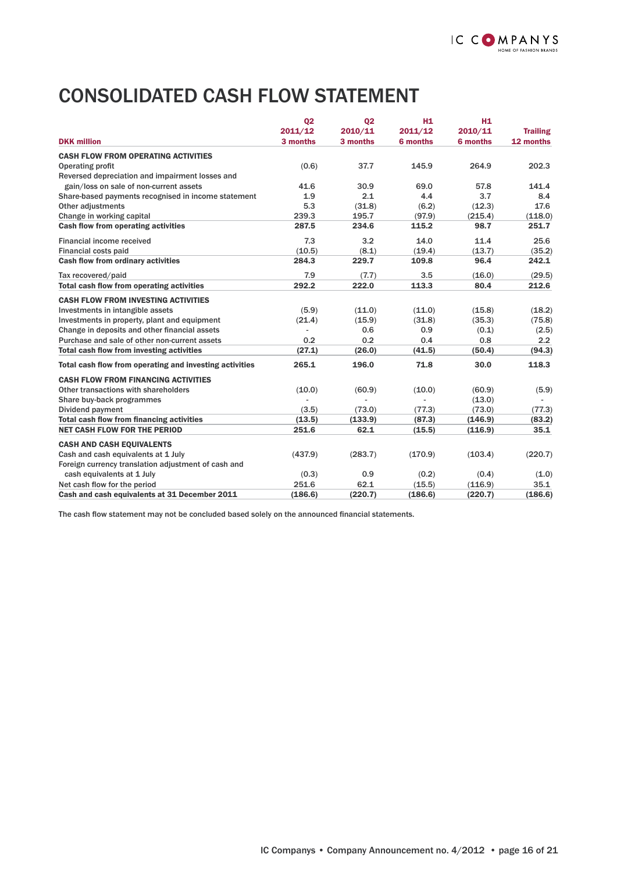# CONSOLIDATED CASH FLOW STATEMENT

|                                                         | Q <sub>2</sub> | 02       | H <sub>1</sub> | H <sub>1</sub> |                 |
|---------------------------------------------------------|----------------|----------|----------------|----------------|-----------------|
|                                                         | 2011/12        | 2010/11  | 2011/12        | 2010/11        | <b>Trailing</b> |
| <b>DKK</b> million                                      | 3 months       | 3 months | 6 months       | 6 months       | 12 months       |
| <b>CASH FLOW FROM OPERATING ACTIVITIES</b>              |                |          |                |                |                 |
| <b>Operating profit</b>                                 | (0.6)          | 37.7     | 145.9          | 264.9          | 202.3           |
| Reversed depreciation and impairment losses and         |                |          |                |                |                 |
| gain/loss on sale of non-current assets                 | 41.6           | 30.9     | 69.0           | 57.8           | 141.4           |
| Share-based payments recognised in income statement     | 1.9            | 2.1      | 4.4            | 3.7            | 8.4             |
| Other adjustments                                       | 5.3            | (31.8)   | (6.2)          | (12.3)         | 17.6            |
| Change in working capital                               | 239.3          | 195.7    | (97.9)         | (215.4)        | (118.0)         |
| <b>Cash flow from operating activities</b>              | 287.5          | 234.6    | 115.2          | 98.7           | 251.7           |
| Financial income received                               | 7.3            | 3.2      | 14.0           | 11.4           | 25.6            |
| Financial costs paid                                    | (10.5)         | (8.1)    | (19.4)         | (13.7)         | (35.2)          |
| Cash flow from ordinary activities                      | 284.3          | 229.7    | 109.8          | 96.4           | 242.1           |
| Tax recovered/paid                                      | 7.9            | (7.7)    | 3.5            | (16.0)         | (29.5)          |
| Total cash flow from operating activities               | 292.2          | 222.0    | 113.3          | 80.4           | 212.6           |
| <b>CASH FLOW FROM INVESTING ACTIVITIES</b>              |                |          |                |                |                 |
| Investments in intangible assets                        | (5.9)          | (11.0)   | (11.0)         | (15.8)         | (18.2)          |
| Investments in property, plant and equipment            | (21.4)         | (15.9)   | (31.8)         | (35.3)         | (75.8)          |
| Change in deposits and other financial assets           |                | 0.6      | 0.9            | (0.1)          | (2.5)           |
| Purchase and sale of other non-current assets           | 0.2            | 0.2      | 0.4            | 0.8            | 2.2             |
| Total cash flow from investing activities               | (27.1)         | (26.0)   | (41.5)         | (50.4)         | (94.3)          |
| Total cash flow from operating and investing activities | 265.1          | 196.0    | 71.8           | 30.0           | 118.3           |
| <b>CASH FLOW FROM FINANCING ACTIVITIES</b>              |                |          |                |                |                 |
| Other transactions with shareholders                    | (10.0)         | (60.9)   | (10.0)         | (60.9)         | (5.9)           |
| Share buy-back programmes                               |                |          |                | (13.0)         |                 |
| Dividend payment                                        | (3.5)          | (73.0)   | (77.3)         | (73.0)         | (77.3)          |
| <b>Total cash flow from financing activities</b>        | (13.5)         | (133.9)  | (87.3)         | (146.9)        | (83.2)          |
| <b>NET CASH FLOW FOR THE PERIOD</b>                     | 251.6          | 62.1     | (15.5)         | (116.9)        | 35.1            |
| <b>CASH AND CASH EQUIVALENTS</b>                        |                |          |                |                |                 |
| Cash and cash equivalents at 1 July                     | (437.9)        | (283.7)  | (170.9)        | (103.4)        | (220.7)         |
| Foreign currency translation adjustment of cash and     |                |          |                |                |                 |
| cash equivalents at 1 July                              | (0.3)          | 0.9      | (0.2)          | (0.4)          | (1.0)           |
| Net cash flow for the period                            | 251.6          | 62.1     | (15.5)         | (116.9)        | 35.1            |
| Cash and cash equivalents at 31 December 2011           | (186.6)        | (220.7)  | (186.6)        | (220.7)        | (186.6)         |

The cash flow statement may not be concluded based solely on the announced financial statements.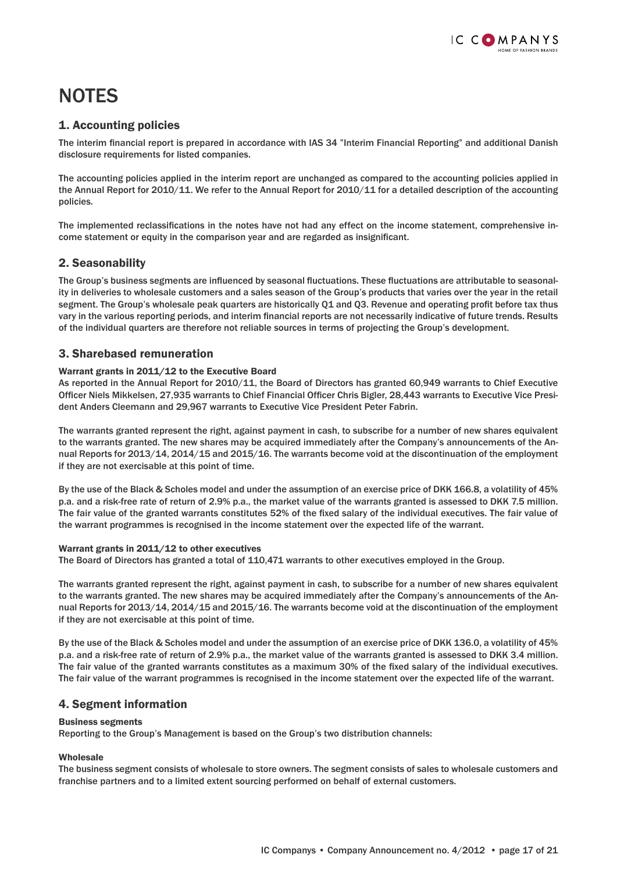# **NOTES**

## 1. Accounting policies

The interim financial report is prepared in accordance with IAS 34 "Interim Financial Reporting" and additional Danish disclosure requirements for listed companies.

The accounting policies applied in the interim report are unchanged as compared to the accounting policies applied in the Annual Report for 2010/11. We refer to the Annual Report for 2010/11 for a detailed description of the accounting policies.

The implemented reclassifications in the notes have not had any effect on the income statement, comprehensive income statement or equity in the comparison year and are regarded as insignificant.

## 2. Seasonability

The Group's business segments are influenced by seasonal fluctuations. These fluctuations are attributable to seasonality in deliveries to wholesale customers and a sales season of the Group's products that varies over the year in the retail segment. The Group's wholesale peak quarters are historically Q1 and Q3. Revenue and operating profit before tax thus vary in the various reporting periods, and interim financial reports are not necessarily indicative of future trends. Results of the individual quarters are therefore not reliable sources in terms of projecting the Group's development.

## 3. Sharebased remuneration

#### Warrant grants in 2011/12 to the Executive Board

As reported in the Annual Report for 2010/11, the Board of Directors has granted 60,949 warrants to Chief Executive Officer Niels Mikkelsen, 27,935 warrants to Chief Financial Officer Chris Bigler, 28,443 warrants to Executive Vice President Anders Cleemann and 29,967 warrants to Executive Vice President Peter Fabrin.

The warrants granted represent the right, against payment in cash, to subscribe for a number of new shares equivalent to the warrants granted. The new shares may be acquired immediately after the Company's announcements of the Annual Reports for 2013/14, 2014/15 and 2015/16. The warrants become void at the discontinuation of the employment if they are not exercisable at this point of time.

By the use of the Black & Scholes model and under the assumption of an exercise price of DKK 166.8, a volatility of 45% p.a. and a risk-free rate of return of 2.9% p.a., the market value of the warrants granted is assessed to DKK 7.5 million. The fair value of the granted warrants constitutes 52% of the fixed salary of the individual executives. The fair value of the warrant programmes is recognised in the income statement over the expected life of the warrant.

#### Warrant grants in 2011/12 to other executives

The Board of Directors has granted a total of 110,471 warrants to other executives employed in the Group.

The warrants granted represent the right, against payment in cash, to subscribe for a number of new shares equivalent to the warrants granted. The new shares may be acquired immediately after the Company's announcements of the Annual Reports for 2013/14, 2014/15 and 2015/16. The warrants become void at the discontinuation of the employment if they are not exercisable at this point of time.

By the use of the Black & Scholes model and under the assumption of an exercise price of DKK 136.0, a volatility of 45% p.a. and a risk-free rate of return of 2.9% p.a., the market value of the warrants granted is assessed to DKK 3.4 million. The fair value of the granted warrants constitutes as a maximum 30% of the fixed salary of the individual executives. The fair value of the warrant programmes is recognised in the income statement over the expected life of the warrant.

## 4. Segment information

#### Business segments

Reporting to the Group's Management is based on the Group's two distribution channels:

## Wholesale

The business segment consists of wholesale to store owners. The segment consists of sales to wholesale customers and franchise partners and to a limited extent sourcing performed on behalf of external customers.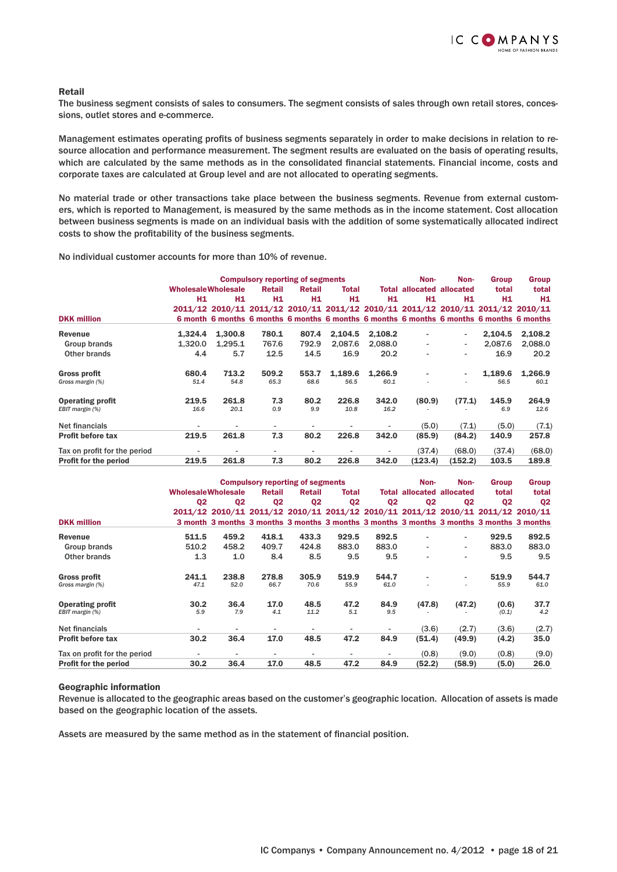#### Retail

The business segment consists of sales to consumers. The segment consists of sales through own retail stores, concessions, outlet stores and e-commerce.

Management estimates operating profits of business segments separately in order to make decisions in relation to resource allocation and performance measurement. The segment results are evaluated on the basis of operating results, which are calculated by the same methods as in the consolidated financial statements. Financial income, costs and corporate taxes are calculated at Group level and are not allocated to operating segments.

No material trade or other transactions take place between the business segments. Revenue from external customers, which is reported to Management, is measured by the same methods as in the income statement. Cost allocation between business segments is made on an individual basis with the addition of some systematically allocated indirect costs to show the profitability of the business segments.

No individual customer accounts for more than 10% of revenue.

|                                            |                           |                                                                                          | <b>Compulsory reporting of segments</b> |                          |                          |                | Non-                             | Non-                     | <b>Group</b> | <b>Group</b>  |
|--------------------------------------------|---------------------------|------------------------------------------------------------------------------------------|-----------------------------------------|--------------------------|--------------------------|----------------|----------------------------------|--------------------------|--------------|---------------|
|                                            | <b>WholesaleWholesale</b> |                                                                                          | Retail                                  | Retail                   | Total                    |                | <b>Total allocated allocated</b> |                          | total        | total         |
|                                            | H1                        | H1                                                                                       | H1                                      | Н1                       | H <sub>1</sub>           | H <sub>1</sub> | H1                               | H <sub>1</sub>           | H1           | H1            |
|                                            |                           | 2011/12 2010/11 2011/12 2010/11 2011/12 2010/11 2011/12 2010/11 2011/12 2010/11          |                                         |                          |                          |                |                                  |                          |              |               |
| <b>DKK million</b>                         |                           | 6 month 6 months 6 months 6 months 6 months 6 months 6 months 6 months 6 months 6 months |                                         |                          |                          |                |                                  |                          |              |               |
| <b>Revenue</b>                             | 1,324.4                   | 1,300.8                                                                                  | 780.1                                   | 807.4                    | 2,104.5                  | 2,108.2        |                                  | ٠                        | 2.104.5      | 2,108.2       |
| Group brands                               | 1.320.0                   | 1.295.1                                                                                  | 767.6                                   | 792.9                    | 2.087.6                  | 2.088.0        |                                  | $\overline{\phantom{a}}$ | 2.087.6      | 2.088.0       |
| Other brands                               | 4.4                       | 5.7                                                                                      | 12.5                                    | 14.5                     | 16.9                     | 20.2           |                                  | $\overline{\phantom{a}}$ | 16.9         | 20.2          |
| <b>Gross profit</b>                        | 680.4                     | 713.2                                                                                    | 509.2                                   | 553.7                    | 1,189.6                  | 1.266.9        |                                  | ٠                        | 1.189.6      | 1.266.9       |
| Gross margin (%)                           | 51.4                      | 54.8                                                                                     | 65.3                                    | 68.6                     | 56.5                     | 60.1           |                                  | $\overline{\phantom{a}}$ | 56.5         | 60.1          |
| <b>Operating profit</b><br>EBIT margin (%) | 219.5<br>16.6             | 261.8<br>20.1                                                                            | 7.3<br>0.9                              | 80.2<br>9.9              | 226.8<br>10.8            | 342.0<br>16.2  | (80.9)                           | (77.1)                   | 145.9<br>6.9 | 264.9<br>12.6 |
|                                            |                           |                                                                                          |                                         |                          |                          |                |                                  |                          |              |               |
| Net financials                             | $\overline{\phantom{a}}$  | $\blacksquare$                                                                           |                                         | $\overline{\phantom{a}}$ | $\overline{\phantom{a}}$ | $\sim$         | (5.0)                            | (7.1)                    | (5.0)        | (7.1)         |
| <b>Profit before tax</b>                   | 219.5                     | 261.8                                                                                    | 7.3                                     | 80.2                     | 226.8                    | 342.0          | (85.9)                           | (84.2)                   | 140.9        | 257.8         |
| Tax on profit for the period               | $\overline{\phantom{0}}$  | $\blacksquare$                                                                           |                                         |                          | $\overline{\phantom{0}}$ | $\sim$         | (37.4)                           | (68.0)                   | (37.4)       | (68.0)        |
| <b>Profit for the period</b>               | 219.5                     | 261.8                                                                                    | 7.3                                     | 80.2                     | 226.8                    | 342.0          | (123.4)                          | (152.2)                  | 103.5        | 189.8         |

|                              |                           |                                                                                          |                          | <b>Compulsory reporting of segments</b> |                |                | Non-                             | Non-                     | <b>Group</b>   | <b>Group</b>   |
|------------------------------|---------------------------|------------------------------------------------------------------------------------------|--------------------------|-----------------------------------------|----------------|----------------|----------------------------------|--------------------------|----------------|----------------|
|                              | <b>WholesaleWholesale</b> |                                                                                          | Retail                   | Retail                                  | Total          |                | <b>Total allocated allocated</b> |                          | total          | total          |
|                              | Q <sub>2</sub>            | Q <sub>2</sub>                                                                           | Q <sub>2</sub>           | Q <sub>2</sub>                          | Q <sub>2</sub> | Q <sub>2</sub> | Q <sub>2</sub>                   | Q <sub>2</sub>           | Q <sub>2</sub> | Q <sub>2</sub> |
|                              |                           | 2011/12 2010/11 2011/12 2010/11 2011/12 2010/11 2011/12 2010/11 2011/12 2010/11          |                          |                                         |                |                |                                  |                          |                |                |
| <b>DKK</b> million           |                           | 3 month 3 months 3 months 3 months 3 months 3 months 3 months 3 months 3 months 3 months |                          |                                         |                |                |                                  |                          |                |                |
| <b>Revenue</b>               | 511.5                     | 459.2                                                                                    | 418.1                    | 433.3                                   | 929.5          | 892.5          |                                  | ٠                        | 929.5          | 892.5          |
| Group brands                 | 510.2                     | 458.2                                                                                    | 409.7                    | 424.8                                   | 883.0          | 883.0          | $\overline{\phantom{a}}$         | $\overline{\phantom{a}}$ | 883.0          | 883.0          |
| Other brands                 | 1.3                       | 1.0                                                                                      | 8.4                      | 8.5                                     | 9.5            | 9.5            | $\overline{\phantom{a}}$         | $\overline{\phantom{0}}$ | 9.5            | 9.5            |
| <b>Gross profit</b>          | 241.1                     | 238.8                                                                                    | 278.8                    | 305.9                                   | 519.9          | 544.7          |                                  | ٠                        | 519.9          | 544.7          |
| Gross margin (%)             | 47.1                      | 52.0                                                                                     | 66.7                     | 70.6                                    | 55.9           | 61.0           |                                  |                          | 55.9           | 61.0           |
| <b>Operating profit</b>      | 30.2                      | 36.4                                                                                     | 17.0                     | 48.5                                    | 47.2           | 84.9           | (47.8)                           | (47.2)                   | (0.6)          | 37.7           |
| EBIT margin (%)              | 5.9                       | 7.9                                                                                      | 4.1                      | 11.2                                    | 5.1            | 9.5            |                                  |                          | (0.1)          | 4.2            |
| Net financials               | $\overline{\phantom{a}}$  | ٠                                                                                        | $\overline{\phantom{a}}$ | $\blacksquare$                          | ٠              | ٠              | (3.6)                            | (2.7)                    | (3.6)          | (2.7)          |
| <b>Profit before tax</b>     | 30.2                      | 36.4                                                                                     | 17.0                     | 48.5                                    | 47.2           | 84.9           | (51.4)                           | (49.9)                   | (4.2)          | 35.0           |
| Tax on profit for the period | $\overline{a}$            | ۰.                                                                                       | ٠                        | $\overline{\phantom{a}}$                | ٠              | ٠              | (0.8)                            | (9.0)                    | (0.8)          | (9.0)          |
| <b>Profit for the period</b> | 30.2                      | 36.4                                                                                     | 17.0                     | 48.5                                    | 47.2           | 84.9           | (52.2)                           | (58.9)                   | (5.0)          | 26.0           |

#### Geographic information

Revenue is allocated to the geographic areas based on the customer's geographic location. Allocation of assets is made based on the geographic location of the assets.

Assets are measured by the same method as in the statement of financial position.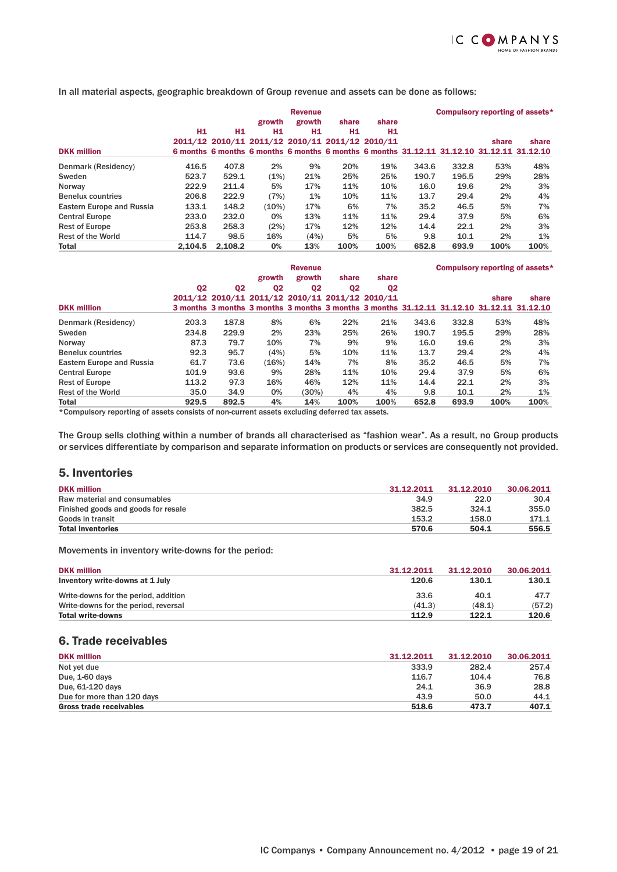

In all material aspects, geographic breakdown of Group revenue and assets can be done as follows:

|                                  |         | <b>Revenue</b>                                                                            |                |        |       | Compulsory reporting of assets* |       |       |       |       |
|----------------------------------|---------|-------------------------------------------------------------------------------------------|----------------|--------|-------|---------------------------------|-------|-------|-------|-------|
|                                  |         |                                                                                           | growth         | growth | share | share                           |       |       |       |       |
|                                  | H1      | H1                                                                                        | H <sub>1</sub> | Н1     | H1    | H1                              |       |       |       |       |
|                                  |         | 2011/12 2010/11 2011/12 2010/11 2011/12 2010/11                                           |                |        |       |                                 |       |       | share | share |
| <b>DKK million</b>               |         | 6 months 6 months 6 months 6 months 6 months 6 months 31,12,11 31,12,10 31,12,11 31,12,10 |                |        |       |                                 |       |       |       |       |
| Denmark (Residency)              | 416.5   | 407.8                                                                                     | 2%             | 9%     | 20%   | 19%                             | 343.6 | 332.8 | 53%   | 48%   |
| Sweden                           | 523.7   | 529.1                                                                                     | (1%)           | 21%    | 25%   | 25%                             | 190.7 | 195.5 | 29%   | 28%   |
| Norway                           | 222.9   | 211.4                                                                                     | 5%             | 17%    | 11%   | 10%                             | 16.0  | 19.6  | 2%    | 3%    |
| <b>Benelux countries</b>         | 206.8   | 222.9                                                                                     | (7%)           | 1%     | 10%   | 11%                             | 13.7  | 29.4  | 2%    | 4%    |
| <b>Eastern Europe and Russia</b> | 133.1   | 148.2                                                                                     | (10%)          | 17%    | 6%    | 7%                              | 35.2  | 46.5  | 5%    | 7%    |
| <b>Central Europe</b>            | 233.0   | 232.0                                                                                     | 0%             | 13%    | 11%   | 11%                             | 29.4  | 37.9  | 5%    | 6%    |
| <b>Rest of Europe</b>            | 253.8   | 258.3                                                                                     | (2%)           | 17%    | 12%   | 12%                             | 14.4  | 22.1  | 2%    | 3%    |
| <b>Rest of the World</b>         | 114.7   | 98.5                                                                                      | 16%            | (4%)   | 5%    | 5%                              | 9.8   | 10.1  | 2%    | 1%    |
| <b>Total</b>                     | 2.104.5 | 2.108.2                                                                                   | 0%             | 13%    | 100%  | 100%                            | 652.8 | 693.9 | 100%  | 100%  |

|                           |                |                                                                                           |                | <b>Revenue</b> |                |                | Compulsory reporting of assets* |       |       |       |
|---------------------------|----------------|-------------------------------------------------------------------------------------------|----------------|----------------|----------------|----------------|---------------------------------|-------|-------|-------|
|                           |                |                                                                                           | growth         | growth         | share          | share          |                                 |       |       |       |
|                           | Q <sub>2</sub> | Q <sub>2</sub>                                                                            | Q <sub>2</sub> | Q <sub>2</sub> | Q <sub>2</sub> | Q <sub>2</sub> |                                 |       |       |       |
|                           |                | 2011/12 2010/11 2011/12 2010/11 2011/12 2010/11                                           |                |                |                |                |                                 |       | share | share |
| <b>DKK million</b>        |                | 3 months 3 months 3 months 3 months 3 months 3 months 31.12.11 31.12.10 31.12.11 31.12.10 |                |                |                |                |                                 |       |       |       |
| Denmark (Residency)       | 203.3          | 187.8                                                                                     | 8%             | 6%             | 22%            | 21%            | 343.6                           | 332.8 | 53%   | 48%   |
| Sweden                    | 234.8          | 229.9                                                                                     | 2%             | 23%            | 25%            | 26%            | 190.7                           | 195.5 | 29%   | 28%   |
| Norway                    | 87.3           | 79.7                                                                                      | 10%            | 7%             | 9%             | 9%             | 16.0                            | 19.6  | 2%    | 3%    |
| <b>Benelux countries</b>  | 92.3           | 95.7                                                                                      | (4%)           | 5%             | 10%            | 11%            | 13.7                            | 29.4  | 2%    | 4%    |
| Eastern Europe and Russia | 61.7           | 73.6                                                                                      | (16%)          | 14%            | 7%             | 8%             | 35.2                            | 46.5  | 5%    | 7%    |
| <b>Central Europe</b>     | 101.9          | 93.6                                                                                      | 9%             | 28%            | 11%            | 10%            | 29.4                            | 37.9  | 5%    | 6%    |
| <b>Rest of Europe</b>     | 113.2          | 97.3                                                                                      | 16%            | 46%            | 12%            | 11%            | 14.4                            | 22.1  | 2%    | 3%    |
| <b>Rest of the World</b>  | 35.0           | 34.9                                                                                      | 0%             | (30%)          | 4%             | 4%             | 9.8                             | 10.1  | 2%    | $1\%$ |
| <b>Total</b>              | 929.5          | 892.5                                                                                     | 4%             | 14%            | 100%           | 100%           | 652.8                           | 693.9 | 100%  | 100%  |

\*Compulsory reporting of assets consists of non-current assets excluding deferred tax assets.

The Group sells clothing within a number of brands all characterised as "fashion wear". As a result, no Group products or services differentiate by comparison and separate information on products or services are consequently not provided.

### 5. Inventories

| <b>DKK million</b>                  | 31.12.2011 | 31.12.2010 | 30.06.2011 |
|-------------------------------------|------------|------------|------------|
| Raw material and consumables        | 34.9       | 22.0       | 30.4       |
| Finished goods and goods for resale | 382.5      | 324.1      | 355.0      |
| Goods in transit                    | 153.2      | 158.0      | 171.1      |
| <b>Total inventories</b>            | 570.6      | 504.1      | 556.5      |

Movements in inventory write-downs for the period:

| <b>DKK million</b>                   | 31.12.2011 | 31.12.2010 | 30.06.2011 |
|--------------------------------------|------------|------------|------------|
| Inventory write-downs at 1 July      | 120.6      | 130.1      | 130.1      |
| Write-downs for the period, addition | 33.6       | 40.1       | 47.7       |
| Write-downs for the period, reversal | (41.3)     | (48.1)     | (57.2)     |
| <b>Total write-downs</b>             | 112.9      | 122.1      | 120.6      |

## 6. Trade receivables

| <b>DKK million</b>         | 31.12.2011 | 31.12.2010 | 30.06.2011 |
|----------------------------|------------|------------|------------|
| Not yet due                | 333.9      | 282.4      | 257.4      |
| Due, 1-60 days             | 116.7      | 104.4      | 76.8       |
| Due, 61-120 days           | 24.1       | 36.9       | 28.8       |
| Due for more than 120 days | 43.9       | 50.0       | 44.1       |
| Gross trade receivables    | 518.6      | 473.7      | 407.1      |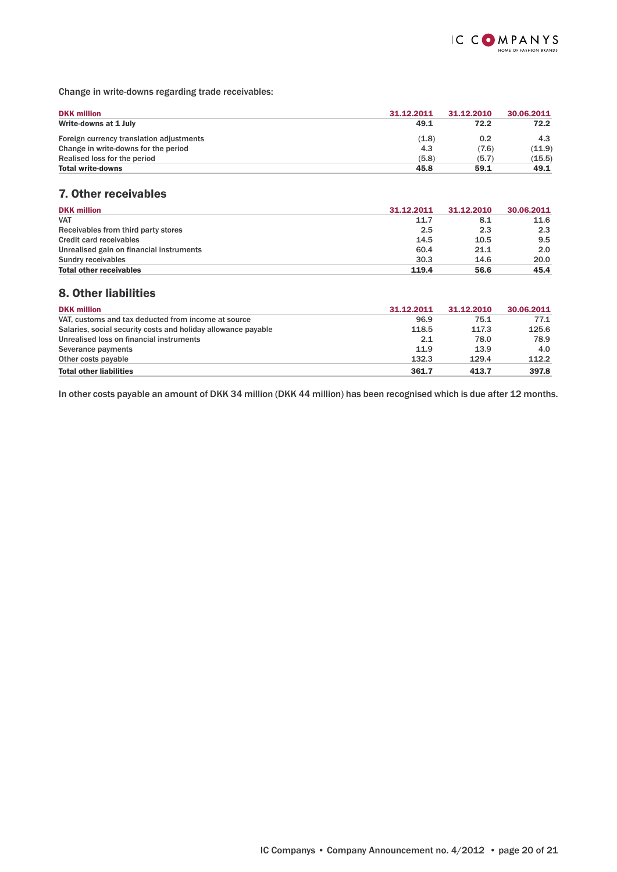

Change in write-downs regarding trade receivables:

| <b>DKK million</b>                       | 31.12.2011 | 31.12.2010 | 30.06.2011 |
|------------------------------------------|------------|------------|------------|
| Write-downs at 1 July                    | 49.1       | 72.2       | 72.2       |
| Foreign currency translation adjustments | (1.8)      | 0.2        | 4.3        |
| Change in write-downs for the period     | 4.3        | (7.6)      | (11.9)     |
| Realised loss for the period             | (5.8)      | (5.7)      | (15.5)     |
| <b>Total write-downs</b>                 | 45.8       | 59.1       | 49.1       |

## 7. Other receivables

| <b>DKK million</b>                       | 31.12.2011 | 31.12.2010 | 30.06.2011 |
|------------------------------------------|------------|------------|------------|
| <b>VAT</b>                               | 11.7       | 8.1        | 11.6       |
| Receivables from third party stores      | 2.5        | 2.3        | 2.3        |
| Credit card receivables                  | 14.5       | 10.5       | 9.5        |
| Unrealised gain on financial instruments | 60.4       | 21.1       | 2.0        |
| Sundry receivables                       | 30.3       | 14.6       | 20.0       |
| <b>Total other receivables</b>           | 119.4      | 56.6       | 45.4       |

## 8. Other liabilities

| <b>DKK million</b>                                            | 31.12.2011 | 31.12.2010 | 30.06.2011 |
|---------------------------------------------------------------|------------|------------|------------|
| VAT, customs and tax deducted from income at source           | 96.9       | 75.1       | 77.1       |
| Salaries, social security costs and holiday allowance payable | 118.5      | 117.3      | 125.6      |
| Unrealised loss on financial instruments                      | 2.1        | 78.0       | 78.9       |
| Severance payments                                            | 11.9       | 13.9       | 4.0        |
| Other costs payable                                           | 132.3      | 129.4      | 112.2      |
| <b>Total other liabilities</b>                                | 361.7      | 413.7      | 397.8      |

In other costs payable an amount of DKK 34 million (DKK 44 million) has been recognised which is due after 12 months.